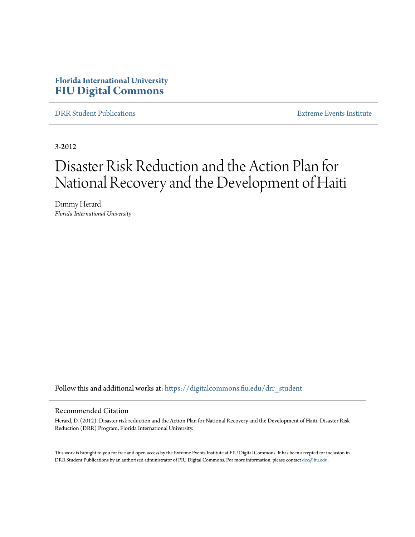# **Florida International University [FIU Digital Commons](https://digitalcommons.fiu.edu?utm_source=digitalcommons.fiu.edu%2Fdrr_student%2F7&utm_medium=PDF&utm_campaign=PDFCoverPages)**

[DRR Student Publications](https://digitalcommons.fiu.edu/drr_student?utm_source=digitalcommons.fiu.edu%2Fdrr_student%2F7&utm_medium=PDF&utm_campaign=PDFCoverPages) [Extreme Events Institute](https://digitalcommons.fiu.edu/drr?utm_source=digitalcommons.fiu.edu%2Fdrr_student%2F7&utm_medium=PDF&utm_campaign=PDFCoverPages)

3-2012

# Disaster Risk Reduction and the Action Plan for National Recovery and the Development of Haiti

Dimmy Herard *Florida International University*

Follow this and additional works at: [https://digitalcommons.fiu.edu/drr\\_student](https://digitalcommons.fiu.edu/drr_student?utm_source=digitalcommons.fiu.edu%2Fdrr_student%2F7&utm_medium=PDF&utm_campaign=PDFCoverPages)

#### Recommended Citation

Herard, D. (2012). Disaster risk reduction and the Action Plan for National Recovery and the Development of Haiti. Disaster Risk Reduction (DRR) Program, Florida International University.

This work is brought to you for free and open access by the Extreme Events Institute at FIU Digital Commons. It has been accepted for inclusion in DRR Student Publications by an authorized administrator of FIU Digital Commons. For more information, please contact [dcc@fiu.edu](mailto:dcc@fiu.edu).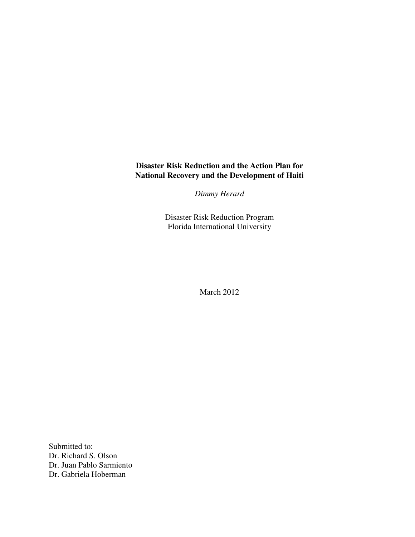# **Disaster Risk Reduction and the Action Plan for National Recovery and the Development of Haiti**

*Dimmy Herard*

Disaster Risk Reduction Program Florida International University

March 2012

Submitted to: Dr. Richard S. Olson Dr. Juan Pablo Sarmiento Dr. Gabriela Hoberman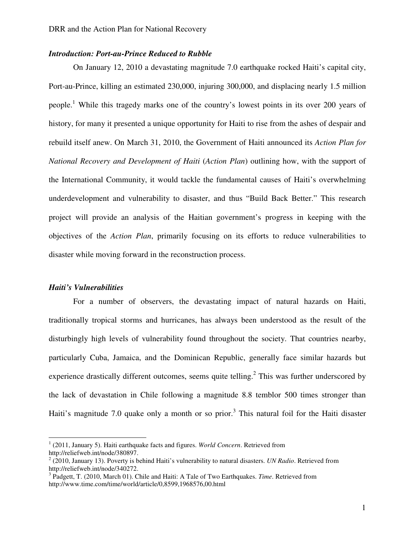## *Introduction: Port-au-Prince Reduced to Rubble*

On January 12, 2010 a devastating magnitude 7.0 earthquake rocked Haiti's capital city, Port-au-Prince, killing an estimated 230,000, injuring 300,000, and displacing nearly 1.5 million people.<sup>1</sup> While this tragedy marks one of the country's lowest points in its over 200 years of history, for many it presented a unique opportunity for Haiti to rise from the ashes of despair and rebuild itself anew. On March 31, 2010, the Government of Haiti announced its *Action Plan for National Recovery and Development of Haiti* (*Action Plan*) outlining how, with the support of the International Community, it would tackle the fundamental causes of Haiti's overwhelming underdevelopment and vulnerability to disaster, and thus "Build Back Better." This research project will provide an analysis of the Haitian government's progress in keeping with the objectives of the *Action Plan*, primarily focusing on its efforts to reduce vulnerabilities to disaster while moving forward in the reconstruction process.

#### *Haiti's Vulnerabilities*

 $\overline{a}$ 

For a number of observers, the devastating impact of natural hazards on Haiti, traditionally tropical storms and hurricanes, has always been understood as the result of the disturbingly high levels of vulnerability found throughout the society. That countries nearby, particularly Cuba, Jamaica, and the Dominican Republic, generally face similar hazards but experience drastically different outcomes, seems quite telling.<sup>2</sup> This was further underscored by the lack of devastation in Chile following a magnitude 8.8 temblor 500 times stronger than Haiti's magnitude 7.0 quake only a month or so prior.<sup>3</sup> This natural foil for the Haiti disaster

<sup>1</sup> (2011, January 5). Haiti earthquake facts and figures. *World Concern*. Retrieved from http://reliefweb.int/node/380897.

<sup>&</sup>lt;sup>2</sup> (2010, January 13). Poverty is behind Haiti's vulnerability to natural disasters. *UN Radio*. Retrieved from http://reliefweb.int/node/340272.

<sup>&</sup>lt;sup>3</sup> Padgett, T. (2010, March 01). Chile and Haiti: A Tale of Two Earthquakes. *Time*. Retrieved from http://www.time.com/time/world/article/0,8599,1968576,00.html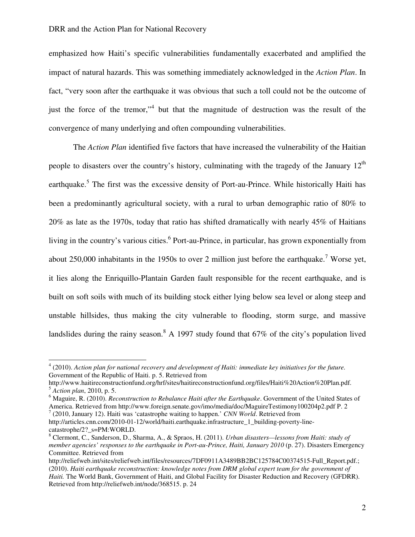emphasized how Haiti's specific vulnerabilities fundamentally exacerbated and amplified the impact of natural hazards. This was something immediately acknowledged in the *Action Plan*. In fact, "very soon after the earthquake it was obvious that such a toll could not be the outcome of just the force of the tremor,"<sup>4</sup> but that the magnitude of destruction was the result of the convergence of many underlying and often compounding vulnerabilities.

The *Action Plan* identified five factors that have increased the vulnerability of the Haitian people to disasters over the country's history, culminating with the tragedy of the January  $12<sup>th</sup>$ earthquake.<sup>5</sup> The first was the excessive density of Port-au-Prince. While historically Haiti has been a predominantly agricultural society, with a rural to urban demographic ratio of 80% to 20% as late as the 1970s, today that ratio has shifted dramatically with nearly 45% of Haitians living in the country's various cities.<sup>6</sup> Port-au-Prince, in particular, has grown exponentially from about 250,000 inhabitants in the 1950s to over 2 million just before the earthquake.<sup>7</sup> Worse yet, it lies along the Enriquillo-Plantain Garden fault responsible for the recent earthquake, and is built on soft soils with much of its building stock either lying below sea level or along steep and unstable hillsides, thus making the city vulnerable to flooding, storm surge, and massive landslides during the rainy season.<sup>8</sup> A 1997 study found that 67% of the city's population lived

7 (2010, January 12). Haiti was 'catastrophe waiting to happen.' *CNN World*. Retrieved from http://articles.cnn.com/2010-01-12/world/haiti.earthquake.infrastructure\_1\_building-poverty-linecatastrophe/2?\_s=PM:WORLD.

<sup>4</sup> (2010). *Action plan for national recovery and development of Haiti: immediate key initiatives for the future.* Government of the Republic of Haiti. p. 5. Retrieved from

http://www.haitireconstructionfund.org/hrf/sites/haitireconstructionfund.org/files/Haiti%20Action%20Plan.pdf. <sup>5</sup> *Action plan*, 2010, p. 5.

<sup>6</sup> Maguire, R. (2010). *Reconstruction to Rebalance Haiti after the Earthquake*. Government of the United States of America. Retrieved from http://www.foreign.senate.gov/imo/media/doc/MaguireTestimony100204p2.pdf P. 2

<sup>8</sup> Clermont, C., Sanderson, D., Sharma, A., & Spraos, H. (2011). *Urban disasters—lessons from Haiti: study of member agencies' responses to the earthquake in Port-au-Prince, Haiti, January 2010* (p. 27). Disasters Emergency Committee. Retrieved from

http://reliefweb.int/sites/reliefweb.int/files/resources/7DF0911A3489BB2BC125784C00374515-Full\_Report.pdf.; (2010). *Haiti earthquake reconstruction: knowledge notes from DRM global expert team for the government of Haiti.* The World Bank, Government of Haiti, and Global Facility for Disaster Reduction and Recovery (GFDRR). Retrieved from http://reliefweb.int/node/368515. p. 24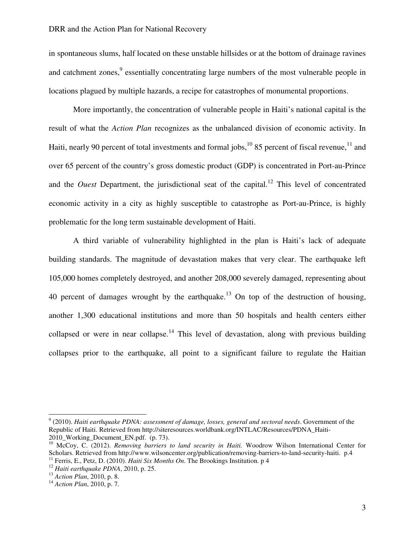in spontaneous slums, half located on these unstable hillsides or at the bottom of drainage ravines and catchment zones,<sup>9</sup> essentially concentrating large numbers of the most vulnerable people in locations plagued by multiple hazards, a recipe for catastrophes of monumental proportions.

More importantly, the concentration of vulnerable people in Haiti's national capital is the result of what the *Action Plan* recognizes as the unbalanced division of economic activity. In Haiti, nearly 90 percent of total investments and formal jobs,  $^{10}$  85 percent of fiscal revenue,  $^{11}$  and over 65 percent of the country's gross domestic product (GDP) is concentrated in Port-au-Prince and the *Ouest* Department, the jurisdictional seat of the capital.<sup>12</sup> This level of concentrated economic activity in a city as highly susceptible to catastrophe as Port-au-Prince, is highly problematic for the long term sustainable development of Haiti.

A third variable of vulnerability highlighted in the plan is Haiti's lack of adequate building standards. The magnitude of devastation makes that very clear. The earthquake left 105,000 homes completely destroyed, and another 208,000 severely damaged, representing about 40 percent of damages wrought by the earthquake.<sup>13</sup> On top of the destruction of housing, another 1,300 educational institutions and more than 50 hospitals and health centers either collapsed or were in near collapse.<sup>14</sup> This level of devastation, along with previous building collapses prior to the earthquake, all point to a significant failure to regulate the Haitian

<sup>9</sup> (2010). *Haiti earthquake PDNA: assessment of damage, losses, general and sectoral needs*. Government of the Republic of Haiti. Retrieved from http://siteresources.worldbank.org/INTLAC/Resources/PDNA\_Haiti-2010\_Working\_Document\_EN.pdf. (p. 73).

<sup>&</sup>lt;sup>10</sup> McCoy, C. (2012). *Removing barriers to land security in Haiti*. Woodrow Wilson International Center for Scholars. Retrieved from http://www.wilsoncenter.org/publication/removing-barriers-to-land-security-haiti. p.4 <sup>11</sup> Ferris, E., Petz, D. (2010). *Haiti Six Months On*. The Brookings Institution. p 4

<sup>12</sup> *Haiti earthquake PDNA*, 2010, p. 25.

<sup>13</sup> *Action Plan*, 2010, p. 8.

<sup>14</sup> *Action Plan*, 2010, p. 7.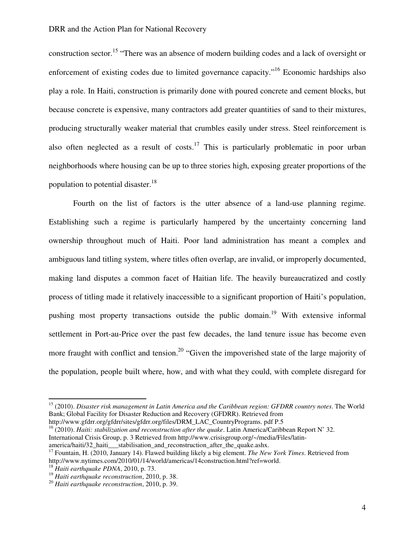construction sector.<sup>15</sup> "There was an absence of modern building codes and a lack of oversight or enforcement of existing codes due to limited governance capacity."<sup>16</sup> Economic hardships also play a role. In Haiti, construction is primarily done with poured concrete and cement blocks, but because concrete is expensive, many contractors add greater quantities of sand to their mixtures, producing structurally weaker material that crumbles easily under stress. Steel reinforcement is also often neglected as a result of costs.<sup>17</sup> This is particularly problematic in poor urban neighborhoods where housing can be up to three stories high, exposing greater proportions of the population to potential disaster.<sup>18</sup>

Fourth on the list of factors is the utter absence of a land-use planning regime. Establishing such a regime is particularly hampered by the uncertainty concerning land ownership throughout much of Haiti. Poor land administration has meant a complex and ambiguous land titling system, where titles often overlap, are invalid, or improperly documented, making land disputes a common facet of Haitian life. The heavily bureaucratized and costly process of titling made it relatively inaccessible to a significant proportion of Haiti's population, pushing most property transactions outside the public domain.<sup>19</sup> With extensive informal settlement in Port-au-Price over the past few decades, the land tenure issue has become even more fraught with conflict and tension.<sup>20</sup> "Given the impoverished state of the large majority of the population, people built where, how, and with what they could, with complete disregard for

<sup>16</sup> (2010). *Haiti: stabilization and reconstruction after the quake*. Latin America/Caribbean Report N˚ 32.

<sup>15</sup> (2010). *Disaster risk management in Latin America and the Caribbean region: GFDRR country notes*. The World Bank; Global Facility for Disaster Reduction and Recovery (GFDRR). Retrieved from http://www.gfdrr.org/gfdrr/sites/gfdrr.org/files/DRM\_LAC\_CountryPrograms. pdf P.5

International Crisis Group, p. 3 Retrieved from http://www.crisisgroup.org/~/media/Files/latinamerica/haiti/32 haiti\_\_\_stabilisation\_and\_reconstruction\_after\_the\_quake.ashx.

<sup>17</sup> Fountain, H. (2010, January 14). Flawed building likely a big element. *The New York Times*. Retrieved from http://www.nytimes.com/2010/01/14/world/americas/14construction.html?ref=world.

<sup>18</sup> *Haiti earthquake PDNA*, 2010, p. 73.

<sup>19</sup> *Haiti earthquake reconstruction*, 2010, p. 38.

<sup>20</sup> *Haiti earthquake reconstruction*, 2010, p. 39.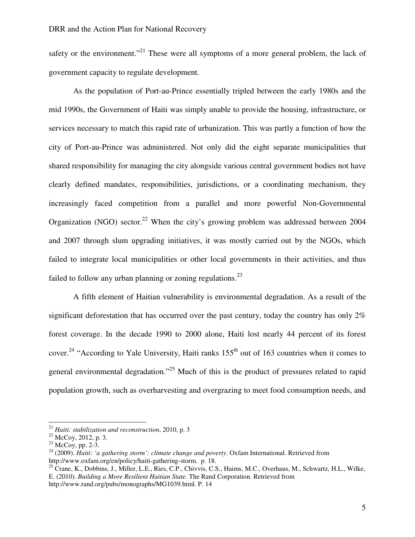safety or the environment."<sup>21</sup> These were all symptoms of a more general problem, the lack of government capacity to regulate development.

As the population of Port-au-Prince essentially tripled between the early 1980s and the mid 1990s, the Government of Haiti was simply unable to provide the housing, infrastructure, or services necessary to match this rapid rate of urbanization. This was partly a function of how the city of Port-au-Prince was administered. Not only did the eight separate municipalities that shared responsibility for managing the city alongside various central government bodies not have clearly defined mandates, responsibilities, jurisdictions, or a coordinating mechanism, they increasingly faced competition from a parallel and more powerful Non-Governmental Organization (NGO) sector.<sup>22</sup> When the city's growing problem was addressed between 2004 and 2007 through slum upgrading initiatives, it was mostly carried out by the NGOs, which failed to integrate local municipalities or other local governments in their activities, and thus failed to follow any urban planning or zoning regulations.<sup>23</sup>

A fifth element of Haitian vulnerability is environmental degradation. As a result of the significant deforestation that has occurred over the past century, today the country has only  $2\%$ forest coverage. In the decade 1990 to 2000 alone, Haiti lost nearly 44 percent of its forest cover.<sup>24</sup> "According to Yale University, Haiti ranks 155<sup>th</sup> out of 163 countries when it comes to general environmental degradation."<sup>25</sup> Much of this is the product of pressures related to rapid population growth, such as overharvesting and overgrazing to meet food consumption needs, and

<sup>21</sup> *Haiti: stabilization and reconstruction*, 2010, p. 3

<sup>22</sup> McCoy, 2012, p. 3.

 $23$  McCoy, pp. 2-3.

<sup>24</sup> (2009). *Haiti: 'a gathering storm': climate change and poverty*. Oxfam International. Retrieved from http://www.oxfam.org/en/policy/haiti-gathering-storm. p. 18.

<sup>&</sup>lt;sup>25</sup> Crane, K., Dobbins, J., Miller, L.E., Ries, C.P., Chivvis, C.S., Haims, M.C., Overhaus, M., Schwartz, H.L., Wilke, E. (2010). *Building a More Resilient Haitian State.* The Rand Corporation. Retrieved from http://www.rand.org/pubs/monographs/MG1039.html. P. 14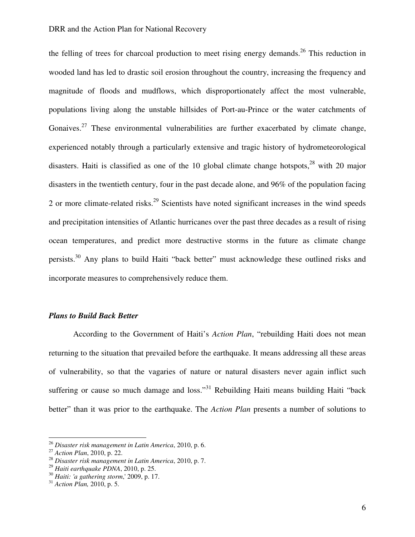the felling of trees for charcoal production to meet rising energy demands.<sup>26</sup> This reduction in wooded land has led to drastic soil erosion throughout the country, increasing the frequency and magnitude of floods and mudflows, which disproportionately affect the most vulnerable, populations living along the unstable hillsides of Port-au-Prince or the water catchments of Gonaives.<sup>27</sup> These environmental vulnerabilities are further exacerbated by climate change, experienced notably through a particularly extensive and tragic history of hydrometeorological disasters. Haiti is classified as one of the 10 global climate change hotspots,  $28$  with 20 major disasters in the twentieth century, four in the past decade alone, and 96% of the population facing 2 or more climate-related risks.<sup>29</sup> Scientists have noted significant increases in the wind speeds and precipitation intensities of Atlantic hurricanes over the past three decades as a result of rising ocean temperatures, and predict more destructive storms in the future as climate change persists.<sup>30</sup> Any plans to build Haiti "back better" must acknowledge these outlined risks and incorporate measures to comprehensively reduce them.

#### *Plans to Build Back Better*

 According to the Government of Haiti's *Action Plan*, "rebuilding Haiti does not mean returning to the situation that prevailed before the earthquake. It means addressing all these areas of vulnerability, so that the vagaries of nature or natural disasters never again inflict such suffering or cause so much damage and loss."<sup>31</sup> Rebuilding Haiti means building Haiti "back" better" than it was prior to the earthquake. The *Action Plan* presents a number of solutions to

<sup>26</sup> *Disaster risk management in Latin America*, 2010, p. 6.

<sup>27</sup> *Action Plan*, 2010, p. 22.

<sup>28</sup> *Disaster risk management in Latin America*, 2010, p. 7.

<sup>29</sup> *Haiti earthquake PDNA*, 2010, p. 25.

<sup>30</sup> *Haiti: 'a gathering storm*,' 2009, p. 17.

<sup>31</sup> *Action Plan,* 2010, p. 5.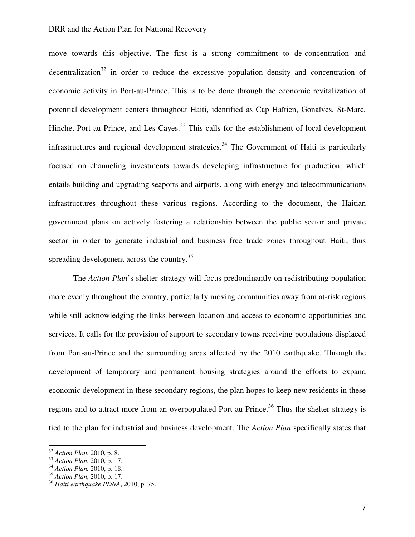move towards this objective. The first is a strong commitment to de-concentration and decentralization<sup>32</sup> in order to reduce the excessive population density and concentration of economic activity in Port-au-Prince. This is to be done through the economic revitalization of potential development centers throughout Haiti, identified as Cap Haïtien, Gonaïves, St-Marc, Hinche, Port-au-Prince, and Les Cayes.<sup>33</sup> This calls for the establishment of local development infrastructures and regional development strategies.<sup>34</sup> The Government of Haiti is particularly focused on channeling investments towards developing infrastructure for production, which entails building and upgrading seaports and airports, along with energy and telecommunications infrastructures throughout these various regions. According to the document, the Haitian government plans on actively fostering a relationship between the public sector and private sector in order to generate industrial and business free trade zones throughout Haiti, thus spreading development across the country.<sup>35</sup>

The *Action Plan*'s shelter strategy will focus predominantly on redistributing population more evenly throughout the country, particularly moving communities away from at-risk regions while still acknowledging the links between location and access to economic opportunities and services. It calls for the provision of support to secondary towns receiving populations displaced from Port-au-Prince and the surrounding areas affected by the 2010 earthquake. Through the development of temporary and permanent housing strategies around the efforts to expand economic development in these secondary regions, the plan hopes to keep new residents in these regions and to attract more from an overpopulated Port-au-Prince.<sup>36</sup> Thus the shelter strategy is tied to the plan for industrial and business development. The *Action Plan* specifically states that

<sup>32</sup> *Action Plan*, 2010, p. 8.

<sup>33</sup> *Action Plan*, 2010, p. 17.

<sup>34</sup> *Action Plan,* 2010, p. 18.

<sup>35</sup> *Action Plan*, 2010, p. 17.

<sup>36</sup> *Haiti earthquake PDNA*, 2010, p. 75.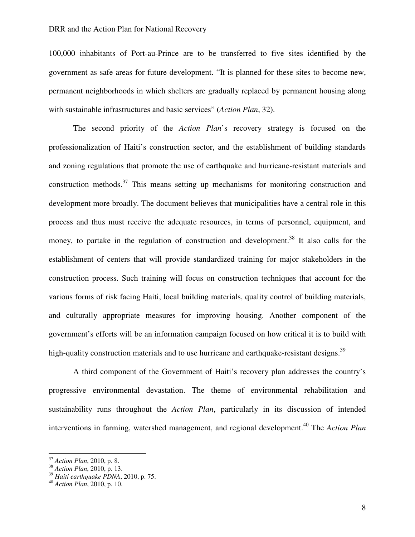100,000 inhabitants of Port-au-Prince are to be transferred to five sites identified by the government as safe areas for future development. "It is planned for these sites to become new, permanent neighborhoods in which shelters are gradually replaced by permanent housing along with sustainable infrastructures and basic services" (*Action Plan*, 32).

The second priority of the *Action Plan*'s recovery strategy is focused on the professionalization of Haiti's construction sector, and the establishment of building standards and zoning regulations that promote the use of earthquake and hurricane-resistant materials and construction methods.<sup>37</sup> This means setting up mechanisms for monitoring construction and development more broadly. The document believes that municipalities have a central role in this process and thus must receive the adequate resources, in terms of personnel, equipment, and money, to partake in the regulation of construction and development.<sup>38</sup> It also calls for the establishment of centers that will provide standardized training for major stakeholders in the construction process. Such training will focus on construction techniques that account for the various forms of risk facing Haiti, local building materials, quality control of building materials, and culturally appropriate measures for improving housing. Another component of the government's efforts will be an information campaign focused on how critical it is to build with high-quality construction materials and to use hurricane and earthquake-resistant designs.<sup>39</sup>

A third component of the Government of Haiti's recovery plan addresses the country's progressive environmental devastation. The theme of environmental rehabilitation and sustainability runs throughout the *Action Plan*, particularly in its discussion of intended interventions in farming, watershed management, and regional development.<sup>40</sup> The *Action Plan* 

<sup>37</sup> *Action Plan*, 2010, p. 8.

<sup>38</sup> *Action Plan*, 2010, p. 13.

<sup>39</sup> *Haiti earthquake PDNA*, 2010, p. 75.

<sup>40</sup> *Action Plan*, 2010, p. 10.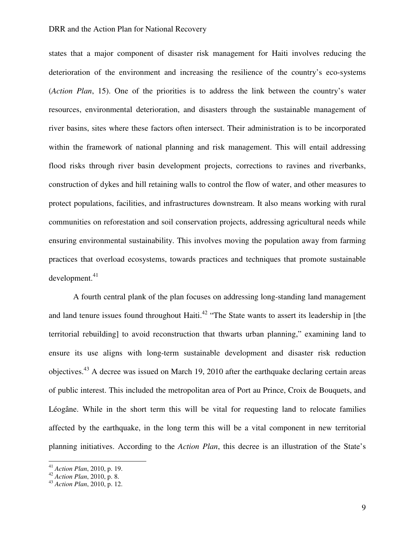states that a major component of disaster risk management for Haiti involves reducing the deterioration of the environment and increasing the resilience of the country's eco-systems (*Action Plan*, 15). One of the priorities is to address the link between the country's water resources, environmental deterioration, and disasters through the sustainable management of river basins, sites where these factors often intersect. Their administration is to be incorporated within the framework of national planning and risk management. This will entail addressing flood risks through river basin development projects, corrections to ravines and riverbanks, construction of dykes and hill retaining walls to control the flow of water, and other measures to protect populations, facilities, and infrastructures downstream. It also means working with rural communities on reforestation and soil conservation projects, addressing agricultural needs while ensuring environmental sustainability. This involves moving the population away from farming practices that overload ecosystems, towards practices and techniques that promote sustainable development.<sup>41</sup>

A fourth central plank of the plan focuses on addressing long-standing land management and land tenure issues found throughout Haiti.<sup>42</sup> "The State wants to assert its leadership in [the territorial rebuilding] to avoid reconstruction that thwarts urban planning," examining land to ensure its use aligns with long-term sustainable development and disaster risk reduction objectives.<sup>43</sup> A decree was issued on March 19, 2010 after the earthquake declaring certain areas of public interest. This included the metropolitan area of Port au Prince, Croix de Bouquets, and Léogâne. While in the short term this will be vital for requesting land to relocate families affected by the earthquake, in the long term this will be a vital component in new territorial planning initiatives. According to the *Action Plan*, this decree is an illustration of the State's

<sup>41</sup> *Action Plan*, 2010, p. 19.

<sup>42</sup> *Action Plan*, 2010, p. 8.

<sup>43</sup> *Action Plan*, 2010, p. 12.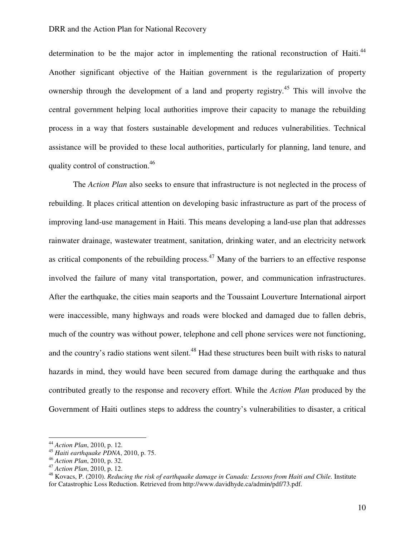determination to be the major actor in implementing the rational reconstruction of Haiti.<sup>44</sup> Another significant objective of the Haitian government is the regularization of property ownership through the development of a land and property registry.<sup>45</sup> This will involve the central government helping local authorities improve their capacity to manage the rebuilding process in a way that fosters sustainable development and reduces vulnerabilities. Technical assistance will be provided to these local authorities, particularly for planning, land tenure, and quality control of construction.<sup>46</sup>

The *Action Plan* also seeks to ensure that infrastructure is not neglected in the process of rebuilding. It places critical attention on developing basic infrastructure as part of the process of improving land-use management in Haiti. This means developing a land-use plan that addresses rainwater drainage, wastewater treatment, sanitation, drinking water, and an electricity network as critical components of the rebuilding process.<sup>47</sup> Many of the barriers to an effective response involved the failure of many vital transportation, power, and communication infrastructures. After the earthquake, the cities main seaports and the Toussaint Louverture International airport were inaccessible, many highways and roads were blocked and damaged due to fallen debris, much of the country was without power, telephone and cell phone services were not functioning, and the country's radio stations went silent.<sup>48</sup> Had these structures been built with risks to natural hazards in mind, they would have been secured from damage during the earthquake and thus contributed greatly to the response and recovery effort. While the *Action Plan* produced by the Government of Haiti outlines steps to address the country's vulnerabilities to disaster, a critical

<sup>44</sup> *Action Plan*, 2010, p. 12.

<sup>45</sup> *Haiti earthquake PDNA*, 2010, p. 75.

<sup>46</sup> *Action Plan*, 2010, p. 32.

<sup>47</sup> *Action Plan*, 2010, p. 12.

<sup>48</sup> Kovacs, P. (2010). *Reducing the risk of earthquake damage in Canada: Lessons from Haiti and Chile.* Institute for Catastrophic Loss Reduction. Retrieved from http://www.davidhyde.ca/admin/pdf/73.pdf.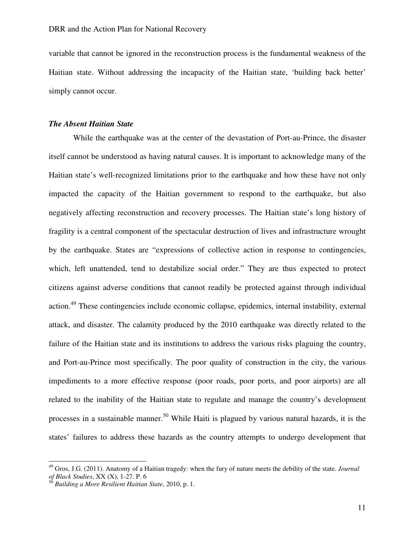variable that cannot be ignored in the reconstruction process is the fundamental weakness of the Haitian state. Without addressing the incapacity of the Haitian state, 'building back better' simply cannot occur.

## *The Absent Haitian State*

 While the earthquake was at the center of the devastation of Port-au-Prince, the disaster itself cannot be understood as having natural causes. It is important to acknowledge many of the Haitian state's well-recognized limitations prior to the earthquake and how these have not only impacted the capacity of the Haitian government to respond to the earthquake, but also negatively affecting reconstruction and recovery processes. The Haitian state's long history of fragility is a central component of the spectacular destruction of lives and infrastructure wrought by the earthquake. States are "expressions of collective action in response to contingencies, which, left unattended, tend to destabilize social order." They are thus expected to protect citizens against adverse conditions that cannot readily be protected against through individual action.<sup>49</sup> These contingencies include economic collapse, epidemics, internal instability, external attack, and disaster. The calamity produced by the 2010 earthquake was directly related to the failure of the Haitian state and its institutions to address the various risks plaguing the country, and Port-au-Prince most specifically. The poor quality of construction in the city, the various impediments to a more effective response (poor roads, poor ports, and poor airports) are all related to the inability of the Haitian state to regulate and manage the country's development processes in a sustainable manner.<sup>50</sup> While Haiti is plagued by various natural hazards, it is the states' failures to address these hazards as the country attempts to undergo development that

<sup>49</sup> Gros, J.G. (2011). Anatomy of a Haitian tragedy: when the fury of nature meets the debility of the state. *Journal of Black Studies*, XX (X), 1-27. P. 6

<sup>50</sup> *Building a More Resilient Haitian State*, 2010, p. 1.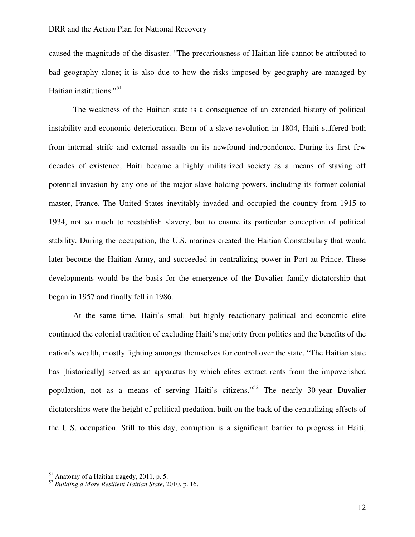caused the magnitude of the disaster. "The precariousness of Haitian life cannot be attributed to bad geography alone; it is also due to how the risks imposed by geography are managed by Haitian institutions."<sup>51</sup>

 The weakness of the Haitian state is a consequence of an extended history of political instability and economic deterioration. Born of a slave revolution in 1804, Haiti suffered both from internal strife and external assaults on its newfound independence. During its first few decades of existence, Haiti became a highly militarized society as a means of staving off potential invasion by any one of the major slave-holding powers, including its former colonial master, France. The United States inevitably invaded and occupied the country from 1915 to 1934, not so much to reestablish slavery, but to ensure its particular conception of political stability. During the occupation, the U.S. marines created the Haitian Constabulary that would later become the Haitian Army, and succeeded in centralizing power in Port-au-Prince. These developments would be the basis for the emergence of the Duvalier family dictatorship that began in 1957 and finally fell in 1986.

At the same time, Haiti's small but highly reactionary political and economic elite continued the colonial tradition of excluding Haiti's majority from politics and the benefits of the nation's wealth, mostly fighting amongst themselves for control over the state. "The Haitian state has [historically] served as an apparatus by which elites extract rents from the impoverished population, not as a means of serving Haiti's citizens."<sup>52</sup> The nearly 30-year Duvalier dictatorships were the height of political predation, built on the back of the centralizing effects of the U.S. occupation. Still to this day, corruption is a significant barrier to progress in Haiti,

 $<sup>51</sup>$  Anatomy of a Haitian tragedy, 2011, p. 5.</sup>

<sup>52</sup> *Building a More Resilient Haitian State*, 2010, p. 16.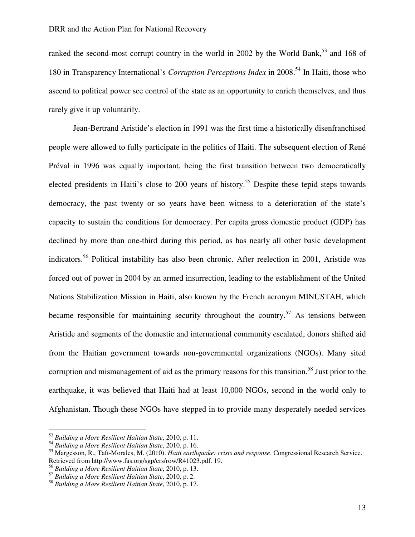ranked the second-most corrupt country in the world in 2002 by the World Bank,<sup>53</sup> and 168 of 180 in Transparency International's *Corruption Perceptions Index* in 2008.<sup>54</sup> In Haiti, those who ascend to political power see control of the state as an opportunity to enrich themselves, and thus rarely give it up voluntarily.

Jean-Bertrand Aristide's election in 1991 was the first time a historically disenfranchised people were allowed to fully participate in the politics of Haiti. The subsequent election of René Préval in 1996 was equally important, being the first transition between two democratically elected presidents in Haiti's close to 200 years of history.<sup>55</sup> Despite these tepid steps towards democracy, the past twenty or so years have been witness to a deterioration of the state's capacity to sustain the conditions for democracy. Per capita gross domestic product (GDP) has declined by more than one-third during this period, as has nearly all other basic development indicators.<sup>56</sup> Political instability has also been chronic. After reelection in 2001, Aristide was forced out of power in 2004 by an armed insurrection, leading to the establishment of the United Nations Stabilization Mission in Haiti, also known by the French acronym MINUSTAH, which became responsible for maintaining security throughout the country.<sup>57</sup> As tensions between Aristide and segments of the domestic and international community escalated, donors shifted aid from the Haitian government towards non-governmental organizations (NGOs). Many sited corruption and mismanagement of aid as the primary reasons for this transition.<sup>58</sup> Just prior to the earthquake, it was believed that Haiti had at least 10,000 NGOs, second in the world only to Afghanistan. Though these NGOs have stepped in to provide many desperately needed services

<sup>53</sup> *Building a More Resilient Haitian State*, 2010, p. 11.

<sup>54</sup> *Building a More Resilient Haitian State*, 2010, p. 16.

<sup>55</sup> Margesson, R., Taft-Morales, M. (2010). *Haiti earthquake: crisis and response*. Congressional Research Service. Retrieved from http://www.fas.org/sgp/crs/row/R41023.pdf. 19.

<sup>56</sup> *Building a More Resilient Haitian State*, 2010, p. 13.

<sup>57</sup> *Building a More Resilient Haitian State*, 2010, p. 2.

<sup>58</sup> *Building a More Resilient Haitian State*, 2010, p. 17.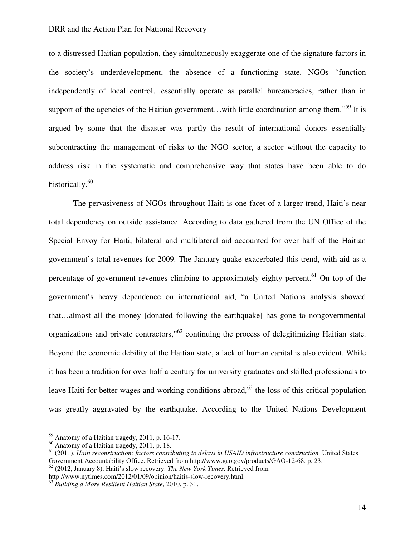to a distressed Haitian population, they simultaneously exaggerate one of the signature factors in the society's underdevelopment, the absence of a functioning state. NGOs "function independently of local control…essentially operate as parallel bureaucracies, rather than in support of the agencies of the Haitian government...with little coordination among them."<sup>59</sup> It is argued by some that the disaster was partly the result of international donors essentially subcontracting the management of risks to the NGO sector, a sector without the capacity to address risk in the systematic and comprehensive way that states have been able to do historically.<sup>60</sup>

The pervasiveness of NGOs throughout Haiti is one facet of a larger trend, Haiti's near total dependency on outside assistance. According to data gathered from the UN Office of the Special Envoy for Haiti, bilateral and multilateral aid accounted for over half of the Haitian government's total revenues for 2009. The January quake exacerbated this trend, with aid as a percentage of government revenues climbing to approximately eighty percent.<sup>61</sup> On top of the government's heavy dependence on international aid, "a United Nations analysis showed that…almost all the money [donated following the earthquake] has gone to nongovernmental organizations and private contractors,"<sup>62</sup> continuing the process of delegitimizing Haitian state. Beyond the economic debility of the Haitian state, a lack of human capital is also evident. While it has been a tradition for over half a century for university graduates and skilled professionals to leave Haiti for better wages and working conditions abroad,  $63$  the loss of this critical population was greatly aggravated by the earthquake. According to the United Nations Development

<sup>59</sup> Anatomy of a Haitian tragedy, 2011, p. 16-17.

<sup>60</sup> Anatomy of a Haitian tragedy, 2011, p. 18.

<sup>61</sup> (2011). *Haiti reconstruction: factors contributing to delays in USAID infrastructure construction.* United States Government Accountability Office. Retrieved from http://www.gao.gov/products/GAO-12-68. p. 23.

<sup>62</sup> (2012, January 8). Haiti's slow recovery. *The New York Times*. Retrieved from

http://www.nytimes.com/2012/01/09/opinion/haitis-slow-recovery.html.

<sup>63</sup> *Building a More Resilient Haitian State*, 2010, p. 31.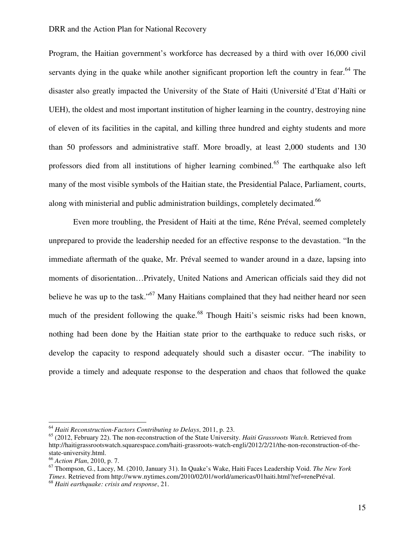Program, the Haitian government's workforce has decreased by a third with over 16,000 civil servants dying in the quake while another significant proportion left the country in fear.<sup>64</sup> The disaster also greatly impacted the University of the State of Haiti (Université d'Etat d'Haïti or UEH), the oldest and most important institution of higher learning in the country, destroying nine of eleven of its facilities in the capital, and killing three hundred and eighty students and more than 50 professors and administrative staff. More broadly, at least 2,000 students and 130 professors died from all institutions of higher learning combined.<sup>65</sup> The earthquake also left many of the most visible symbols of the Haitian state, the Presidential Palace, Parliament, courts, along with ministerial and public administration buildings, completely decimated.<sup>66</sup>

Even more troubling, the President of Haiti at the time, Réne Préval, seemed completely unprepared to provide the leadership needed for an effective response to the devastation. "In the immediate aftermath of the quake, Mr. Préval seemed to wander around in a daze, lapsing into moments of disorientation…Privately, United Nations and American officials said they did not believe he was up to the task."<sup>67</sup> Many Haitians complained that they had neither heard nor seen much of the president following the quake.<sup>68</sup> Though Haiti's seismic risks had been known, nothing had been done by the Haitian state prior to the earthquake to reduce such risks, or develop the capacity to respond adequately should such a disaster occur. "The inability to provide a timely and adequate response to the desperation and chaos that followed the quake

<sup>64</sup> *Haiti Reconstruction-Factors Contributing to Delays*, 2011, p. 23.

<sup>65</sup> (2012, February 22). The non-reconstruction of the State University. *Haiti Grassroots Watch*. Retrieved from http://haitigrassrootswatch.squarespace.com/haiti-grassroots-watch-engli/2012/2/21/the-non-reconstruction-of-thestate-university.html.

<sup>66</sup> *Action Plan*, 2010, p. 7.

<sup>67</sup> Thompson, G., Lacey, M. (2010, January 31). In Quake's Wake, Haiti Faces Leadership Void. *The New York Times*. Retrieved from http://www.nytimes.com/2010/02/01/world/americas/01haiti.html?ref=renePréval. <sup>68</sup> *Haiti earthquake: crisis and response*, 21.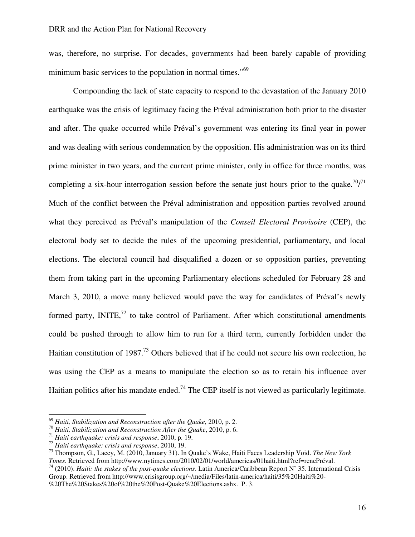was, therefore, no surprise. For decades, governments had been barely capable of providing minimum basic services to the population in normal times."<sup>69</sup>

Compounding the lack of state capacity to respond to the devastation of the January 2010 earthquake was the crisis of legitimacy facing the Préval administration both prior to the disaster and after. The quake occurred while Préval's government was entering its final year in power and was dealing with serious condemnation by the opposition. His administration was on its third prime minister in two years, and the current prime minister, only in office for three months, was completing a six-hour interrogation session before the senate just hours prior to the quake.<sup>70</sup>/<sup>71</sup> Much of the conflict between the Préval administration and opposition parties revolved around what they perceived as Préval's manipulation of the *Conseil Electoral Provisoire* (CEP), the electoral body set to decide the rules of the upcoming presidential, parliamentary, and local elections. The electoral council had disqualified a dozen or so opposition parties, preventing them from taking part in the upcoming Parliamentary elections scheduled for February 28 and March 3, 2010, a move many believed would pave the way for candidates of Préval's newly formed party,  $INITE<sub>1</sub><sup>72</sup>$  to take control of Parliament. After which constitutional amendments could be pushed through to allow him to run for a third term, currently forbidden under the Haitian constitution of 1987.<sup>73</sup> Others believed that if he could not secure his own reelection, he was using the CEP as a means to manipulate the election so as to retain his influence over Haitian politics after his mandate ended.<sup>74</sup> The CEP itself is not viewed as particularly legitimate.

l

<sup>69</sup> *Haiti, Stabilization and Reconstruction after the Quake*, 2010, p. 2.

<sup>70</sup> *Haiti, Stabilization and Reconstruction After the Quake*, 2010, p. 6.

<sup>71</sup> *Haiti earthquake: crisis and response*, 2010, p. 19.

<sup>72</sup> *Haiti earthquake: crisis and response*, 2010, 19.

<sup>73</sup> Thompson, G., Lacey, M. (2010, January 31). In Quake's Wake, Haiti Faces Leadership Void. *The New York Times*. Retrieved from http://www.nytimes.com/2010/02/01/world/americas/01haiti.html?ref=renePréval.

<sup>74</sup> (2010). *Haiti: the stakes of the post-quake elections*. Latin America/Caribbean Report N˚ 35. International Crisis Group. Retrieved from http://www.crisisgroup.org/~/media/Files/latin-america/haiti/35%20Haiti%20- %20The%20Stakes%20of%20the%20Post-Quake%20Elections.ashx. P. 3.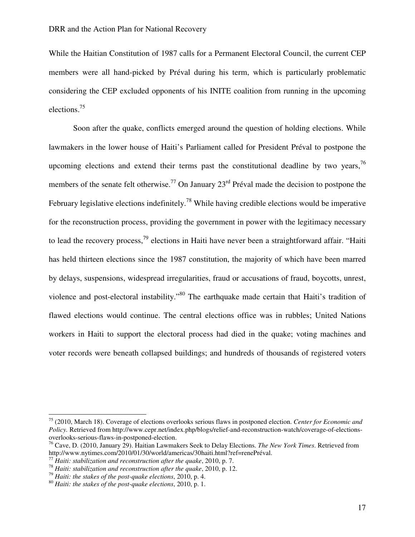While the Haitian Constitution of 1987 calls for a Permanent Electoral Council, the current CEP members were all hand-picked by Préval during his term, which is particularly problematic considering the CEP excluded opponents of his INITE coalition from running in the upcoming elections.<sup>75</sup>

Soon after the quake, conflicts emerged around the question of holding elections. While lawmakers in the lower house of Haiti's Parliament called for President Préval to postpone the upcoming elections and extend their terms past the constitutional deadline by two years,  $^{76}$ members of the senate felt otherwise.<sup>77</sup> On January  $23<sup>rd</sup>$  Préval made the decision to postpone the February legislative elections indefinitely.<sup>78</sup> While having credible elections would be imperative for the reconstruction process, providing the government in power with the legitimacy necessary to lead the recovery process,<sup>79</sup> elections in Haiti have never been a straightforward affair. "Haiti has held thirteen elections since the 1987 constitution, the majority of which have been marred by delays, suspensions, widespread irregularities, fraud or accusations of fraud, boycotts, unrest, violence and post-electoral instability."<sup>80</sup> The earthquake made certain that Haiti's tradition of flawed elections would continue. The central elections office was in rubbles; United Nations workers in Haiti to support the electoral process had died in the quake; voting machines and voter records were beneath collapsed buildings; and hundreds of thousands of registered voters

l

<sup>75</sup> (2010, March 18). Coverage of elections overlooks serious flaws in postponed election. *Center for Economic and Policy.* Retrieved from http://www.cepr.net/index.php/blogs/relief-and-reconstruction-watch/coverage-of-electionsoverlooks-serious-flaws-in-postponed-election.

<sup>76</sup> Cave, D. (2010, January 29). Haitian Lawmakers Seek to Delay Elections. *The New York Times*. Retrieved from http://www.nytimes.com/2010/01/30/world/americas/30haiti.html?ref=renePréval.

<sup>77</sup> *Haiti: stabilization and reconstruction after the quake*, 2010, p. 7.

<sup>78</sup> *Haiti: stabilization and reconstruction after the quake*, 2010, p. 12.

<sup>79</sup> *Haiti: the stakes of the post-quake elections*, 2010, p. 4.

<sup>80</sup> *Haiti: the stakes of the post-quake elections*, 2010, p. 1.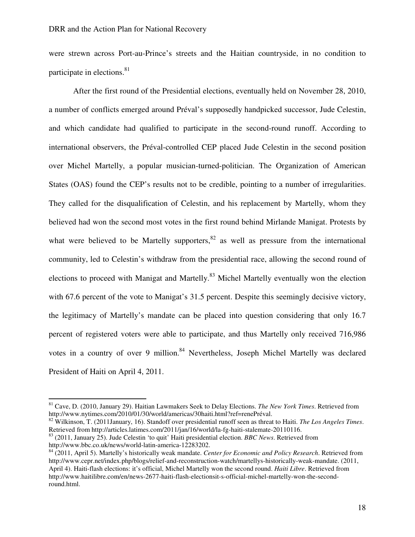were strewn across Port-au-Prince's streets and the Haitian countryside, in no condition to participate in elections.<sup>81</sup>

After the first round of the Presidential elections, eventually held on November 28, 2010, a number of conflicts emerged around Préval's supposedly handpicked successor, Jude Celestin, and which candidate had qualified to participate in the second-round runoff. According to international observers, the Préval-controlled CEP placed Jude Celestin in the second position over Michel Martelly, a popular musician-turned-politician. The Organization of American States (OAS) found the CEP's results not to be credible, pointing to a number of irregularities. They called for the disqualification of Celestin, and his replacement by Martelly, whom they believed had won the second most votes in the first round behind Mirlande Manigat. Protests by what were believed to be Martelly supporters,  $82$  as well as pressure from the international community, led to Celestin's withdraw from the presidential race, allowing the second round of elections to proceed with Manigat and Martelly.<sup>83</sup> Michel Martelly eventually won the election with 67.6 percent of the vote to Manigat's 31.5 percent. Despite this seemingly decisive victory, the legitimacy of Martelly's mandate can be placed into question considering that only 16.7 percent of registered voters were able to participate, and thus Martelly only received 716,986 votes in a country of over 9 million.<sup>84</sup> Nevertheless, Joseph Michel Martelly was declared President of Haiti on April 4, 2011.

<sup>81</sup> Cave, D. (2010, January 29). Haitian Lawmakers Seek to Delay Elections. *The New York Times*. Retrieved from http://www.nytimes.com/2010/01/30/world/americas/30haiti.html?ref=renePréval.

<sup>82</sup> Wilkinson, T. (2011January, 16). Standoff over presidential runoff seen as threat to Haiti. *The Los Angeles Times*. Retrieved from http://articles.latimes.com/2011/jan/16/world/la-fg-haiti-stalemate-20110116.

<sup>83</sup> (2011, January 25). Jude Celestin 'to quit' Haiti presidential election. *BBC News*. Retrieved from http://www.bbc.co.uk/news/world-latin-america-12283202.

<sup>84</sup> (2011, April 5). Martelly's historically weak mandate. *Center for Economic and Policy Research*. Retrieved from http://www.cepr.net/index.php/blogs/relief-and-reconstruction-watch/martellys-historically-weak-mandate. (2011, April 4). Haiti-flash elections: it's official, Michel Martelly won the second round. *Haiti Libre*. Retrieved from http://www.haitilibre.com/en/news-2677-haiti-flash-electionsit-s-official-michel-martelly-won-the-secondround.html.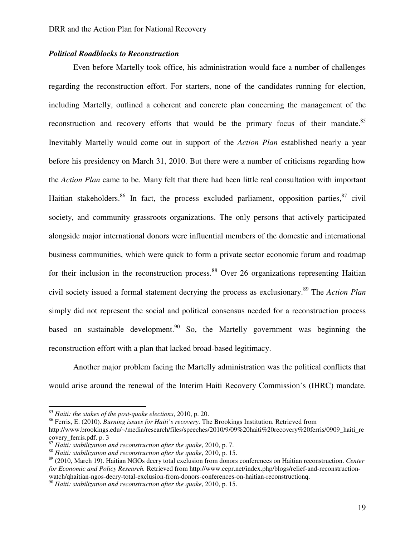## *Political Roadblocks to Reconstruction*

Even before Martelly took office, his administration would face a number of challenges regarding the reconstruction effort. For starters, none of the candidates running for election, including Martelly, outlined a coherent and concrete plan concerning the management of the reconstruction and recovery efforts that would be the primary focus of their mandate.<sup>85</sup> Inevitably Martelly would come out in support of the *Action Plan* established nearly a year before his presidency on March 31, 2010. But there were a number of criticisms regarding how the *Action Plan* came to be. Many felt that there had been little real consultation with important Haitian stakeholders.<sup>86</sup> In fact, the process excluded parliament, opposition parties,  $87$  civil society, and community grassroots organizations. The only persons that actively participated alongside major international donors were influential members of the domestic and international business communities, which were quick to form a private sector economic forum and roadmap for their inclusion in the reconstruction process.<sup>88</sup> Over 26 organizations representing Haitian civil society issued a formal statement decrying the process as exclusionary.<sup>89</sup> The *Action Plan* simply did not represent the social and political consensus needed for a reconstruction process based on sustainable development.<sup>90</sup> So, the Martelly government was beginning the reconstruction effort with a plan that lacked broad-based legitimacy.

Another major problem facing the Martelly administration was the political conflicts that would arise around the renewal of the Interim Haiti Recovery Commission's (IHRC) mandate.

<sup>85</sup> *Haiti: the stakes of the post-quake elections*, 2010, p. 20.

<sup>86</sup> Ferris, E. (2010). *Burning issues for Haiti's recovery*. The Brookings Institution. Retrieved from

http://www.brookings.edu/~/media/research/files/speeches/2010/9/09%20haiti%20recovery%20ferris/0909\_haiti\_re covery\_ferris.pdf. p. 3

<sup>87</sup> *Haiti: stabilization and reconstruction after the quake*, 2010, p. 7.

<sup>88</sup> *Haiti: stabilization and reconstruction after the quake*, 2010, p. 15.

<sup>89</sup> (2010, March 19). Haitian NGOs decry total exclusion from donors conferences on Haitian reconstruction. *Center for Economic and Policy Research.* Retrieved from http://www.cepr.net/index.php/blogs/relief-and-reconstructionwatch/qhaitian-ngos-decry-total-exclusion-from-donors-conferences-on-haitian-reconstructionq.

<sup>90</sup> *Haiti: stabilization and reconstruction after the quake*, 2010, p. 15.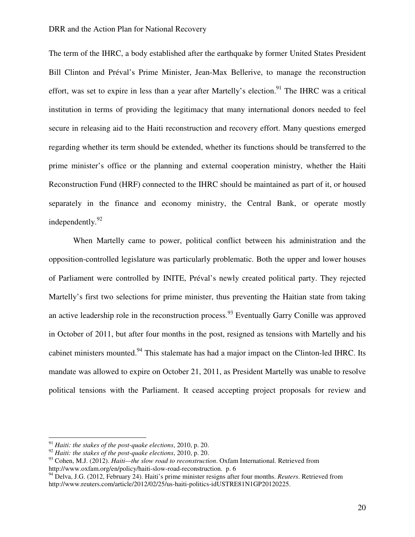The term of the IHRC, a body established after the earthquake by former United States President Bill Clinton and Préval's Prime Minister, Jean-Max Bellerive, to manage the reconstruction effort, was set to expire in less than a year after Martelly's election.<sup>91</sup> The IHRC was a critical institution in terms of providing the legitimacy that many international donors needed to feel secure in releasing aid to the Haiti reconstruction and recovery effort. Many questions emerged regarding whether its term should be extended, whether its functions should be transferred to the prime minister's office or the planning and external cooperation ministry, whether the Haiti Reconstruction Fund (HRF) connected to the IHRC should be maintained as part of it, or housed separately in the finance and economy ministry, the Central Bank, or operate mostly independently.<sup>92</sup>

When Martelly came to power, political conflict between his administration and the opposition-controlled legislature was particularly problematic. Both the upper and lower houses of Parliament were controlled by INITE, Préval's newly created political party. They rejected Martelly's first two selections for prime minister, thus preventing the Haitian state from taking an active leadership role in the reconstruction process.<sup>93</sup> Eventually Garry Conille was approved in October of 2011, but after four months in the post, resigned as tensions with Martelly and his cabinet ministers mounted.<sup>94</sup> This stalemate has had a major impact on the Clinton-led IHRC. Its mandate was allowed to expire on October 21, 2011, as President Martelly was unable to resolve political tensions with the Parliament. It ceased accepting project proposals for review and

<sup>91</sup> *Haiti: the stakes of the post-quake elections*, 2010, p. 20.

<sup>92</sup> *Haiti: the stakes of the post-quake elections*, 2010, p. 20.

<sup>93</sup> Cohen, M.J. (2012). *Haiti—the slow road to reconstruction*. Oxfam International. Retrieved from http://www.oxfam.org/en/policy/haiti-slow-road-reconstruction. p. 6

<sup>&</sup>lt;sup>94</sup> Delva, J.G. (2012, February 24). Haiti's prime minister resigns after four months. *Reuters*. Retrieved from http://www.reuters.com/article/2012/02/25/us-haiti-politics-idUSTRE81N1GP20120225.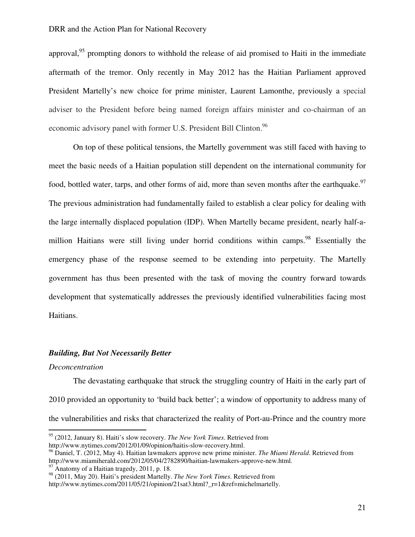approval,  $95$  prompting donors to withhold the release of aid promised to Haiti in the immediate aftermath of the tremor. Only recently in May 2012 has the Haitian Parliament approved President Martelly's new choice for prime minister, Laurent Lamonthe, previously a special adviser to the President before being named foreign affairs minister and co-chairman of an economic advisory panel with former U.S. President Bill Clinton.<sup>96</sup>

On top of these political tensions, the Martelly government was still faced with having to meet the basic needs of a Haitian population still dependent on the international community for food, bottled water, tarps, and other forms of aid, more than seven months after the earthquake.<sup>97</sup> The previous administration had fundamentally failed to establish a clear policy for dealing with the large internally displaced population (IDP). When Martelly became president, nearly half-amillion Haitians were still living under horrid conditions within camps.<sup>98</sup> Essentially the emergency phase of the response seemed to be extending into perpetuity. The Martelly government has thus been presented with the task of moving the country forward towards development that systematically addresses the previously identified vulnerabilities facing most Haitians.

#### *Building, But Not Necessarily Better*

#### *Deconcentration*

 $\overline{a}$ 

The devastating earthquake that struck the struggling country of Haiti in the early part of 2010 provided an opportunity to 'build back better'; a window of opportunity to address many of the vulnerabilities and risks that characterized the reality of Port-au-Prince and the country more

 $97$  Anatomy of a Haitian tragedy, 2011, p. 18.

<sup>95</sup> (2012, January 8). Haiti's slow recovery. *The New York Times*. Retrieved from

http://www.nytimes.com/2012/01/09/opinion/haitis-slow-recovery.html.

<sup>96</sup> Daniel, T. (2012, May 4). Haitian lawmakers approve new prime minister. *The Miami Herald*. Retrieved from http://www.miamiherald.com/2012/05/04/2782890/haitian-lawmakers-approve-new.html.

<sup>98</sup> (2011, May 20). Haiti's president Martelly. *The New York Times*. Retrieved from

http://www.nytimes.com/2011/05/21/opinion/21sat3.html?\_r=1&ref=michelmartelly.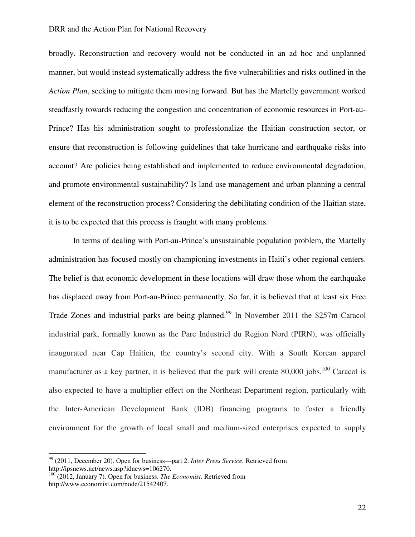broadly. Reconstruction and recovery would not be conducted in an ad hoc and unplanned manner, but would instead systematically address the five vulnerabilities and risks outlined in the *Action Plan*, seeking to mitigate them moving forward. But has the Martelly government worked steadfastly towards reducing the congestion and concentration of economic resources in Port-au-Prince? Has his administration sought to professionalize the Haitian construction sector, or ensure that reconstruction is following guidelines that take hurricane and earthquake risks into account? Are policies being established and implemented to reduce environmental degradation, and promote environmental sustainability? Is land use management and urban planning a central element of the reconstruction process? Considering the debilitating condition of the Haitian state, it is to be expected that this process is fraught with many problems.

In terms of dealing with Port-au-Prince's unsustainable population problem, the Martelly administration has focused mostly on championing investments in Haiti's other regional centers. The belief is that economic development in these locations will draw those whom the earthquake has displaced away from Port-au-Prince permanently. So far, it is believed that at least six Free Trade Zones and industrial parks are being planned.<sup>99</sup> In November 2011 the \$257m Caracol industrial park, formally known as the Parc Industriel du Region Nord (PIRN), was officially inaugurated near Cap Haïtien, the country's second city. With a South Korean apparel manufacturer as a key partner, it is believed that the park will create  $80,000$  jobs.<sup>100</sup> Caracol is also expected to have a multiplier effect on the Northeast Department region, particularly with the Inter-American Development Bank (IDB) financing programs to foster a friendly environment for the growth of local small and medium-sized enterprises expected to supply

<sup>99</sup> (2011, December 20). Open for business—part 2. *Inter Press Service.* Retrieved from http://ipsnews.net/news.asp?idnews=106270.

<sup>100</sup> (2012, January 7). Open for business. *The Economist*. Retrieved from http://www.economist.com/node/21542407.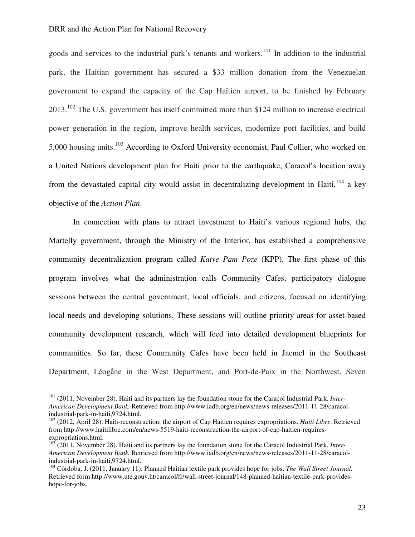l

goods and services to the industrial park's tenants and workers.<sup>101</sup> In addition to the industrial park, the Haitian government has secured a \$33 million donation from the Venezuelan government to expand the capacity of the Cap Haïtien airport, to be finished by February 2013.<sup>102</sup> The U.S. government has itself committed more than \$124 million to increase electrical power generation in the region, improve health services, modernize port facilities, and build 5,000 housing units.<sup>103</sup> According to Oxford University economist, Paul Collier, who worked on a United Nations development plan for Haiti prior to the earthquake, Caracol's location away from the devastated capital city would assist in decentralizing development in Haiti,  $^{104}$  a key objective of the *Action Plan*.

In connection with plans to attract investment to Haiti's various regional hubs, the Martelly government, through the Ministry of the Interior, has established a comprehensive community decentralization program called *Katye Pam Poze* (KPP). The first phase of this program involves what the administration calls Community Cafes, participatory dialogue sessions between the central government, local officials, and citizens, focused on identifying local needs and developing solutions. These sessions will outline priority areas for asset-based community development research, which will feed into detailed development blueprints for communities. So far, these Community Cafes have been held in Jacmel in the Southeast Department, Léogåne in the West Department, and Port-de-Paix in the Northwest. Seven

<sup>101</sup> (2011, November 28). Haiti and its partners lay the foundation stone for the Caracol Industrial Park. *Inter-American Development Bank.* Retrieved from http://www.iadb.org/en/news/news-releases/2011-11-28/caracolindustrial-park-in-haiti,9724.html.

<sup>102</sup> (2012, April 28). Haiti-reconstruction: the airport of Cap Haitien requires expropriations. *Haiti Libre*. Retrieved from http://www.haitilibre.com/en/news-5519-haiti-reconstruction-the-airport-of-cap-haitien-requiresexpropriations.html.

<sup>&</sup>lt;sup>103</sup> (2011, November 28). Haiti and its partners lay the foundation stone for the Caracol Industrial Park. *Inter-American Development Bank.* Retrieved from http://www.iadb.org/en/news/news-releases/2011-11-28/caracolindustrial-park-in-haiti,9724.html.

<sup>104</sup> Córdoba, J. (2011, January 11). Planned Haitian textile park provides hope for jobs. *The Wall Street Journal.*  Retrieved form http://www.ute.gouv.ht/caracol/fr/wall-street-journal/148-planned-haitian-textile-park-provideshope-for-jobs.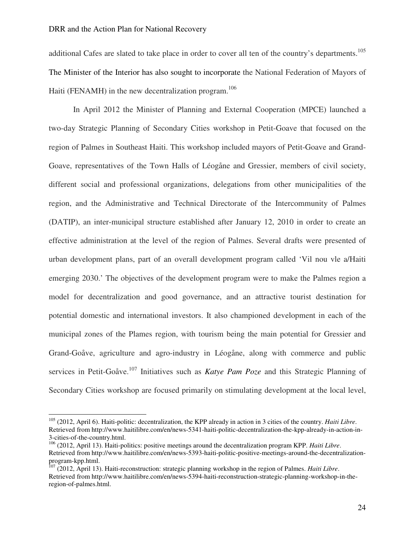l

additional Cafes are slated to take place in order to cover all ten of the country's departments.<sup>105</sup> The Minister of the Interior has also sought to incorporate the National Federation of Mayors of Haiti (FENAMH) in the new decentralization program.<sup>106</sup>

 In April 2012 the Minister of Planning and External Cooperation (MPCE) launched a two-day Strategic Planning of Secondary Cities workshop in Petit-Goave that focused on the region of Palmes in Southeast Haiti. This workshop included mayors of Petit-Goave and Grand-Goave, representatives of the Town Halls of Léogåne and Gressier, members of civil society, different social and professional organizations, delegations from other municipalities of the region, and the Administrative and Technical Directorate of the Intercommunity of Palmes (DATIP), an inter-municipal structure established after January 12, 2010 in order to create an effective administration at the level of the region of Palmes. Several drafts were presented of urban development plans, part of an overall development program called 'Vil nou vle a/Haiti emerging 2030.' The objectives of the development program were to make the Palmes region a model for decentralization and good governance, and an attractive tourist destination for potential domestic and international investors. It also championed development in each of the municipal zones of the Plames region, with tourism being the main potential for Gressier and Grand-Goåve, agriculture and agro-industry in Léogåne, along with commerce and public services in Petit-Goåve.<sup>107</sup> Initiatives such as *Katye Pam Poze* and this Strategic Planning of Secondary Cities workshop are focused primarily on stimulating development at the local level,

<sup>105</sup> (2012, April 6). Haiti-politic: decentralization, the KPP already in action in 3 cities of the country. *Haiti Libre*. Retrieved from http://www.haitilibre.com/en/news-5341-haiti-politic-decentralization-the-kpp-already-in-action-in-3-cities-of-the-country.html.

<sup>106</sup> (2012, April 13). Haiti-politics: positive meetings around the decentralization program KPP. *Haiti Libre*. Retrieved from http://www.haitilibre.com/en/news-5393-haiti-politic-positive-meetings-around-the-decentralizationprogram-kpp.html.

<sup>107</sup> (2012, April 13). Haiti-reconstruction: strategic planning workshop in the region of Palmes. *Haiti Libre*. Retrieved from http://www.haitilibre.com/en/news-5394-haiti-reconstruction-strategic-planning-workshop-in-theregion-of-palmes.html.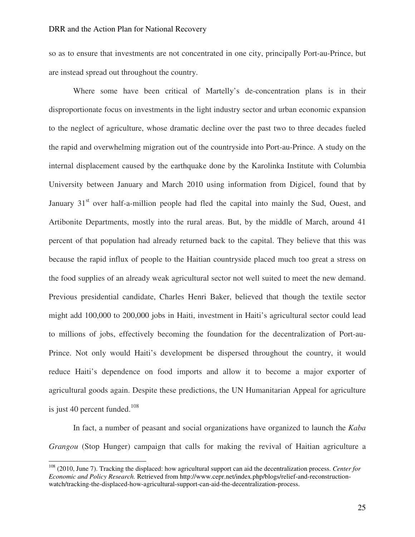so as to ensure that investments are not concentrated in one city, principally Port-au-Prince, but are instead spread out throughout the country.

 Where some have been critical of Martelly's de-concentration plans is in their disproportionate focus on investments in the light industry sector and urban economic expansion to the neglect of agriculture, whose dramatic decline over the past two to three decades fueled the rapid and overwhelming migration out of the countryside into Port-au-Prince. A study on the internal displacement caused by the earthquake done by the Karolinka Institute with Columbia University between January and March 2010 using information from Digicel, found that by January  $31<sup>st</sup>$  over half-a-million people had fled the capital into mainly the Sud, Ouest, and Artibonite Departments, mostly into the rural areas. But, by the middle of March, around 41 percent of that population had already returned back to the capital. They believe that this was because the rapid influx of people to the Haitian countryside placed much too great a stress on the food supplies of an already weak agricultural sector not well suited to meet the new demand. Previous presidential candidate, Charles Henri Baker, believed that though the textile sector might add 100,000 to 200,000 jobs in Haiti, investment in Haiti's agricultural sector could lead to millions of jobs, effectively becoming the foundation for the decentralization of Port-au-Prince. Not only would Haiti's development be dispersed throughout the country, it would reduce Haiti's dependence on food imports and allow it to become a major exporter of agricultural goods again. Despite these predictions, the UN Humanitarian Appeal for agriculture is just 40 percent funded.<sup>108</sup>

 In fact, a number of peasant and social organizations have organized to launch the *Kaba Grangou* (Stop Hunger) campaign that calls for making the revival of Haitian agriculture a

l

<sup>108</sup> (2010, June 7). Tracking the displaced: how agricultural support can aid the decentralization process. *Center for Economic and Policy Research.* Retrieved from http://www.cepr.net/index.php/blogs/relief-and-reconstructionwatch/tracking-the-displaced-how-agricultural-support-can-aid-the-decentralization-process.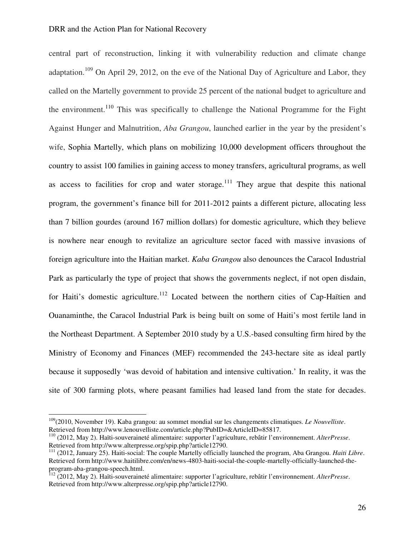central part of reconstruction, linking it with vulnerability reduction and climate change adaptation.<sup>109</sup> On April 29, 2012, on the eve of the National Day of Agriculture and Labor, they called on the Martelly government to provide 25 percent of the national budget to agriculture and the environment.<sup>110</sup> This was specifically to challenge the National Programme for the Fight Against Hunger and Malnutrition, *Aba Grangou*, launched earlier in the year by the president's wife, Sophia Martelly, which plans on mobilizing 10,000 development officers throughout the country to assist 100 families in gaining access to money transfers, agricultural programs, as well as access to facilities for crop and water storage.<sup>111</sup> They argue that despite this national program, the government's finance bill for 2011-2012 paints a different picture, allocating less than 7 billion gourdes (around 167 million dollars) for domestic agriculture, which they believe is nowhere near enough to revitalize an agriculture sector faced with massive invasions of foreign agriculture into the Haitian market. *Kaba Grangou* also denounces the Caracol Industrial Park as particularly the type of project that shows the governments neglect, if not open disdain, for Haiti's domestic agriculture.<sup>112</sup> Located between the northern cities of Cap-Haïtien and Ouanaminthe, the Caracol Industrial Park is being built on some of Haiti's most fertile land in the Northeast Department. A September 2010 study by a U.S.-based consulting firm hired by the Ministry of Economy and Finances (MEF) recommended the 243-hectare site as ideal partly because it supposedly 'was devoid of habitation and intensive cultivation.' In reality, it was the site of 300 farming plots, where peasant families had leased land from the state for decades.

l

<sup>109</sup>(2010, November 19). Kaba grangou: au sommet mondial sur les changements climatiques. *Le Nouvelliste*. Retrieved from http://www.lenouvelliste.com/article.php?PubID=&ArticleID=85817.

<sup>110</sup> (2012, May 2). Haïti-souveraineté alimentaire: supporter l'agriculture, rebâtir l'environnement. *AlterPresse*. Retrieved from http://www.alterpresse.org/spip.php?article12790.

<sup>111</sup> (2012, January 25). Haiti-social: The couple Martelly officially launched the program, Aba Grangou. *Haiti Libre*. Retrieved form http://www.haitilibre.com/en/news-4803-haiti-social-the-couple-martelly-officially-launched-theprogram-aba-grangou-speech.html.

<sup>112</sup> (2012, May 2). Haïti-souveraineté alimentaire: supporter l'agriculture, rebâtir l'environnement. *AlterPresse*. Retrieved from http://www.alterpresse.org/spip.php?article12790.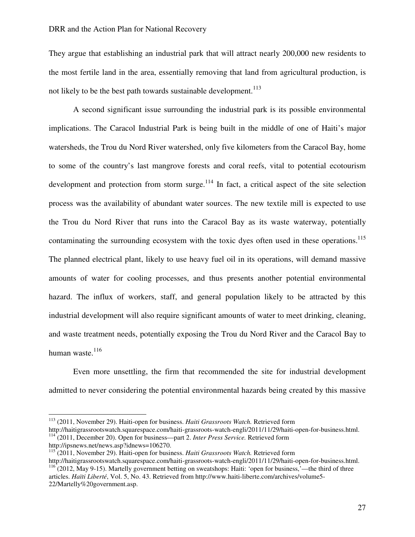They argue that establishing an industrial park that will attract nearly 200,000 new residents to the most fertile land in the area, essentially removing that land from agricultural production, is not likely to be the best path towards sustainable development.<sup>113</sup>

A second significant issue surrounding the industrial park is its possible environmental implications. The Caracol Industrial Park is being built in the middle of one of Haiti's major watersheds, the Trou du Nord River watershed, only five kilometers from the Caracol Bay, home to some of the country's last mangrove forests and coral reefs, vital to potential ecotourism development and protection from storm surge. $114$  In fact, a critical aspect of the site selection process was the availability of abundant water sources. The new textile mill is expected to use the Trou du Nord River that runs into the Caracol Bay as its waste waterway, potentially contaminating the surrounding ecosystem with the toxic dyes often used in these operations.<sup>115</sup> The planned electrical plant, likely to use heavy fuel oil in its operations, will demand massive amounts of water for cooling processes, and thus presents another potential environmental hazard. The influx of workers, staff, and general population likely to be attracted by this industrial development will also require significant amounts of water to meet drinking, cleaning, and waste treatment needs, potentially exposing the Trou du Nord River and the Caracol Bay to human waste.<sup>116</sup>

Even more unsettling, the firm that recommended the site for industrial development admitted to never considering the potential environmental hazards being created by this massive

<sup>113</sup> (2011, November 29). Haiti-open for business. *Haiti Grassroots Watch.* Retrieved form

http://haitigrassrootswatch.squarespace.com/haiti-grassroots-watch-engli/2011/11/29/haiti-open-for-business.html. <sup>114</sup> (2011, December 20). Open for business—part 2. *Inter Press Service.* Retrieved form http://ipsnews.net/news.asp?idnews=106270.

<sup>115</sup> (2011, November 29). Haiti-open for business. *Haiti Grassroots Watch.* Retrieved form

http://haitigrassrootswatch.squarespace.com/haiti-grassroots-watch-engli/2011/11/29/haiti-open-for-business.html.  $116$  (2012, May 9-15). Martelly government betting on sweatshops: Haiti: 'open for business,'—the third of three articles. *Haïti Liberté*, Vol. 5, No. 43. Retrieved from http://www.haiti-liberte.com/archives/volume5-

<sup>22/</sup>Martelly%20government.asp.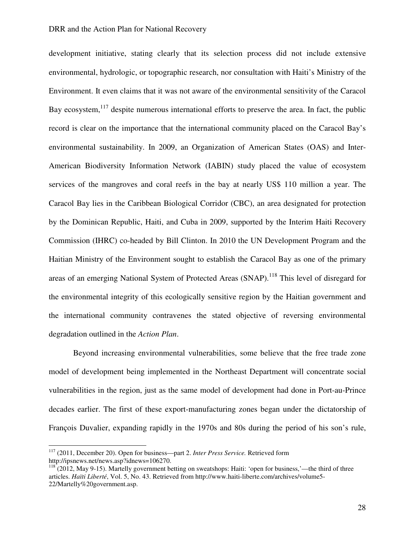development initiative, stating clearly that its selection process did not include extensive environmental, hydrologic, or topographic research, nor consultation with Haiti's Ministry of the Environment. It even claims that it was not aware of the environmental sensitivity of the Caracol Bay ecosystem, $^{117}$  despite numerous international efforts to preserve the area. In fact, the public record is clear on the importance that the international community placed on the Caracol Bay's environmental sustainability. In 2009, an Organization of American States (OAS) and Inter-American Biodiversity Information Network (IABIN) study placed the value of ecosystem services of the mangroves and coral reefs in the bay at nearly US\$ 110 million a year. The Caracol Bay lies in the Caribbean Biological Corridor (CBC), an area designated for protection by the Dominican Republic, Haiti, and Cuba in 2009, supported by the Interim Haiti Recovery Commission (IHRC) co-headed by Bill Clinton. In 2010 the UN Development Program and the Haitian Ministry of the Environment sought to establish the Caracol Bay as one of the primary areas of an emerging National System of Protected Areas (SNAP).<sup>118</sup> This level of disregard for the environmental integrity of this ecologically sensitive region by the Haitian government and the international community contravenes the stated objective of reversing environmental degradation outlined in the *Action Plan*.

Beyond increasing environmental vulnerabilities, some believe that the free trade zone model of development being implemented in the Northeast Department will concentrate social vulnerabilities in the region, just as the same model of development had done in Port-au-Prince decades earlier. The first of these export-manufacturing zones began under the dictatorship of François Duvalier, expanding rapidly in the 1970s and 80s during the period of his son's rule,

<sup>117</sup> (2011, December 20). Open for business—part 2. *Inter Press Service.* Retrieved form http://ipsnews.net/news.asp?idnews=106270.

 $118$  (2012, May 9-15). Martelly government betting on sweatshops: Haiti: 'open for business,'—the third of three articles. *Haïti Liberté*, Vol. 5, No. 43. Retrieved from http://www.haiti-liberte.com/archives/volume5- 22/Martelly%20government.asp.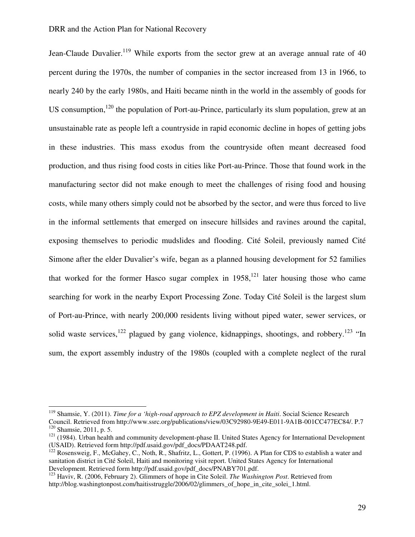$\overline{a}$ 

Jean-Claude Duvalier.<sup>119</sup> While exports from the sector grew at an average annual rate of 40 percent during the 1970s, the number of companies in the sector increased from 13 in 1966, to nearly 240 by the early 1980s, and Haiti became ninth in the world in the assembly of goods for US consumption, $120$  the population of Port-au-Prince, particularly its slum population, grew at an unsustainable rate as people left a countryside in rapid economic decline in hopes of getting jobs in these industries. This mass exodus from the countryside often meant decreased food production, and thus rising food costs in cities like Port-au-Prince. Those that found work in the manufacturing sector did not make enough to meet the challenges of rising food and housing costs, while many others simply could not be absorbed by the sector, and were thus forced to live in the informal settlements that emerged on insecure hillsides and ravines around the capital, exposing themselves to periodic mudslides and flooding. Cité Soleil, previously named Cité Simone after the elder Duvalier's wife, began as a planned housing development for 52 families that worked for the former Hasco sugar complex in  $1958$ ,<sup>121</sup> later housing those who came searching for work in the nearby Export Processing Zone. Today Cité Soleil is the largest slum of Port-au-Prince, with nearly 200,000 residents living without piped water, sewer services, or solid waste services,<sup>122</sup> plagued by gang violence, kidnappings, shootings, and robbery.<sup>123</sup> "In sum, the export assembly industry of the 1980s (coupled with a complete neglect of the rural

<sup>119</sup> Shamsie, Y. (2011). *Time for a 'high-road approach to EPZ development in Haiti*. Social Science Research Council. Retrieved from http://www.ssrc.org/publications/view/03C92980-9E49-E011-9A1B-001CC477EC84/. P.7 <sup>120</sup> Shamsie, 2011, p. 5.

<sup>&</sup>lt;sup>121</sup> (1984). Urban health and community development-phase II. United States Agency for International Development (USAID). Retrieved form http://pdf.usaid.gov/pdf\_docs/PDAAT248.pdf.

<sup>&</sup>lt;sup>122</sup> Rosensweig, F., McGahey, C., Noth, R., Shafritz, L., Gottert, P. (1996). A Plan for CDS to establish a water and sanitation district in Cité Soleil, Haiti and monitoring visit report. United States Agency for International Development. Retrieved form http://pdf.usaid.gov/pdf\_docs/PNABY701.pdf.

<sup>123</sup> Haviv, R. (2006, February 2). Glimmers of hope in Cite Soleil. *The Washington Post*. Retrieved from http://blog.washingtonpost.com/haitisstruggle/2006/02/glimmers\_of\_hope\_in\_cite\_solei\_1.html.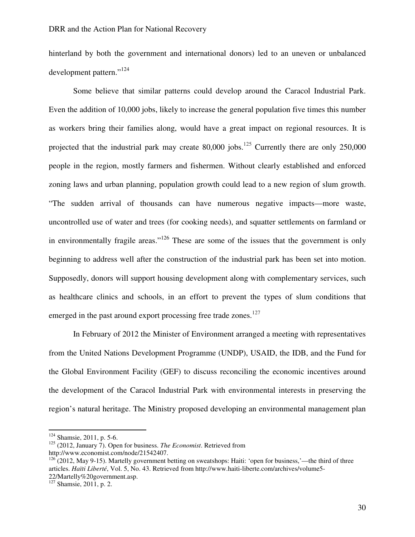hinterland by both the government and international donors) led to an uneven or unbalanced development pattern."<sup>124</sup>

Some believe that similar patterns could develop around the Caracol Industrial Park. Even the addition of 10,000 jobs, likely to increase the general population five times this number as workers bring their families along, would have a great impact on regional resources. It is projected that the industrial park may create  $80,000$  jobs.<sup>125</sup> Currently there are only 250,000 people in the region, mostly farmers and fishermen. Without clearly established and enforced zoning laws and urban planning, population growth could lead to a new region of slum growth. "The sudden arrival of thousands can have numerous negative impacts—more waste, uncontrolled use of water and trees (for cooking needs), and squatter settlements on farmland or in environmentally fragile areas."<sup>126</sup> These are some of the issues that the government is only beginning to address well after the construction of the industrial park has been set into motion. Supposedly, donors will support housing development along with complementary services, such as healthcare clinics and schools, in an effort to prevent the types of slum conditions that emerged in the past around export processing free trade zones.<sup>127</sup>

In February of 2012 the Minister of Environment arranged a meeting with representatives from the United Nations Development Programme (UNDP), USAID, the IDB, and the Fund for the Global Environment Facility (GEF) to discuss reconciling the economic incentives around the development of the Caracol Industrial Park with environmental interests in preserving the region's natural heritage. The Ministry proposed developing an environmental management plan

<sup>&</sup>lt;sup>124</sup> Shamsie, 2011, p. 5-6.

<sup>125</sup> (2012, January 7). Open for business. *The Economist*. Retrieved from

http://www.economist.com/node/21542407.

 $126$  (2012, May 9-15). Martelly government betting on sweatshops: Haiti: 'open for business,'—the third of three articles. *Haïti Liberté*, Vol. 5, No. 43. Retrieved from http://www.haiti-liberte.com/archives/volume5- 22/Martelly%20government.asp.

 $\frac{227 \text{ Nnm}}{27}$  Shamsie, 2011, p. 2.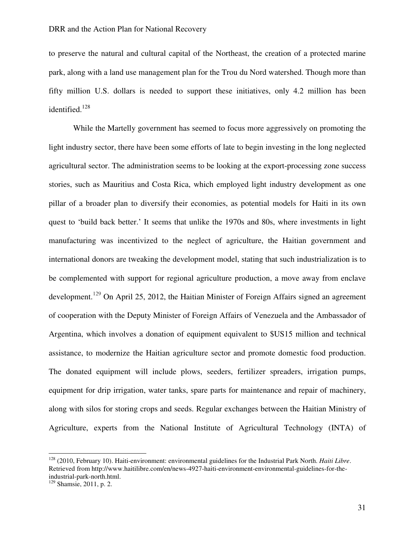to preserve the natural and cultural capital of the Northeast, the creation of a protected marine park, along with a land use management plan for the Trou du Nord watershed. Though more than fifty million U.S. dollars is needed to support these initiatives, only 4.2 million has been identified.<sup>128</sup>

While the Martelly government has seemed to focus more aggressively on promoting the light industry sector, there have been some efforts of late to begin investing in the long neglected agricultural sector. The administration seems to be looking at the export-processing zone success stories, such as Mauritius and Costa Rica, which employed light industry development as one pillar of a broader plan to diversify their economies, as potential models for Haiti in its own quest to 'build back better.' It seems that unlike the 1970s and 80s, where investments in light manufacturing was incentivized to the neglect of agriculture, the Haitian government and international donors are tweaking the development model, stating that such industrialization is to be complemented with support for regional agriculture production, a move away from enclave development.<sup>129</sup> On April 25, 2012, the Haitian Minister of Foreign Affairs signed an agreement of cooperation with the Deputy Minister of Foreign Affairs of Venezuela and the Ambassador of Argentina, which involves a donation of equipment equivalent to \$US15 million and technical assistance, to modernize the Haitian agriculture sector and promote domestic food production. The donated equipment will include plows, seeders, fertilizer spreaders, irrigation pumps, equipment for drip irrigation, water tanks, spare parts for maintenance and repair of machinery, along with silos for storing crops and seeds. Regular exchanges between the Haitian Ministry of Agriculture, experts from the National Institute of Agricultural Technology (INTA) of

<sup>128</sup> (2010, February 10). Haiti-environment: environmental guidelines for the Industrial Park North. *Haiti Libre*. Retrieved from http://www.haitilibre.com/en/news-4927-haiti-environment-environmental-guidelines-for-theindustrial-park-north.html.

 $129$  Shamsie, 2011, p. 2.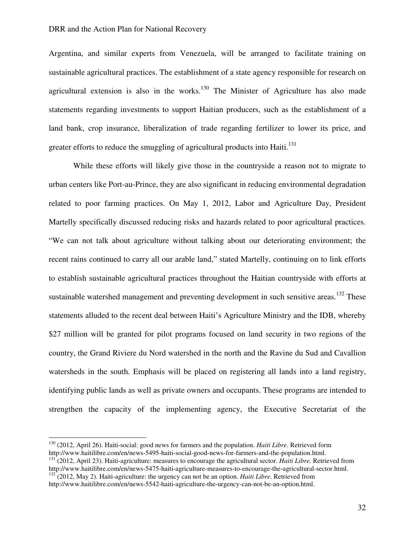Argentina, and similar experts from Venezuela, will be arranged to facilitate training on sustainable agricultural practices. The establishment of a state agency responsible for research on agricultural extension is also in the works.<sup>130</sup> The Minister of Agriculture has also made statements regarding investments to support Haitian producers, such as the establishment of a land bank, crop insurance, liberalization of trade regarding fertilizer to lower its price, and greater efforts to reduce the smuggling of agricultural products into Haiti.<sup>131</sup>

While these efforts will likely give those in the countryside a reason not to migrate to urban centers like Port-au-Prince, they are also significant in reducing environmental degradation related to poor farming practices. On May 1, 2012, Labor and Agriculture Day, President Martelly specifically discussed reducing risks and hazards related to poor agricultural practices. "We can not talk about agriculture without talking about our deteriorating environment; the recent rains continued to carry all our arable land," stated Martelly, continuing on to link efforts to establish sustainable agricultural practices throughout the Haitian countryside with efforts at sustainable watershed management and preventing development in such sensitive areas.<sup>132</sup> These statements alluded to the recent deal between Haiti's Agriculture Ministry and the IDB, whereby \$27 million will be granted for pilot programs focused on land security in two regions of the country, the Grand Riviere du Nord watershed in the north and the Ravine du Sud and Cavallion watersheds in the south. Emphasis will be placed on registering all lands into a land registry, identifying public lands as well as private owners and occupants. These programs are intended to strengthen the capacity of the implementing agency, the Executive Secretariat of the

<sup>130</sup> (2012, April 26). Haiti-social: good news for farmers and the population. *Haiti Libre*. Retrieved form http://www.haitilibre.com/en/news-5495-haiti-social-good-news-for-farmers-and-the-population.html.

<sup>131</sup> (2012, April 23). Haiti-agriculture: measures to encourage the agricultural sector. *Haiti Libre.* Retrieved from http://www.haitilibre.com/en/news-5475-haiti-agriculture-measures-to-encourage-the-agricultural-sector.html.

<sup>&</sup>lt;sup>132</sup> (2012, May 2). Haiti-agriculture: the urgency can not be an option. *Haiti Libre*. Retrieved from http://www.haitilibre.com/en/news-5542-haiti-agriculture-the-urgency-can-not-be-an-option.html.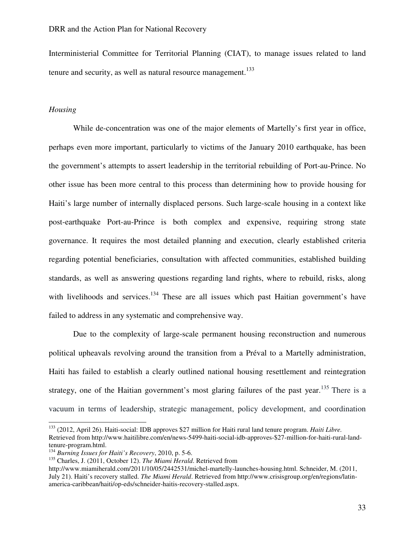Interministerial Committee for Territorial Planning (CIAT), to manage issues related to land tenure and security, as well as natural resource management.<sup>133</sup>

#### *Housing*

 $\overline{a}$ 

While de-concentration was one of the major elements of Martelly's first year in office, perhaps even more important, particularly to victims of the January 2010 earthquake, has been the government's attempts to assert leadership in the territorial rebuilding of Port-au-Prince. No other issue has been more central to this process than determining how to provide housing for Haiti's large number of internally displaced persons. Such large-scale housing in a context like post-earthquake Port-au-Prince is both complex and expensive, requiring strong state governance. It requires the most detailed planning and execution, clearly established criteria regarding potential beneficiaries, consultation with affected communities, established building standards, as well as answering questions regarding land rights, where to rebuild, risks, along with livelihoods and services.<sup>134</sup> These are all issues which past Haitian government's have failed to address in any systematic and comprehensive way.

Due to the complexity of large-scale permanent housing reconstruction and numerous political upheavals revolving around the transition from a Préval to a Martelly administration, Haiti has failed to establish a clearly outlined national housing resettlement and reintegration strategy, one of the Haitian government's most glaring failures of the past year.<sup>135</sup> There is a vacuum in terms of leadership, strategic management, policy development, and coordination

<sup>133</sup> (2012, April 26). Haiti-social: IDB approves \$27 million for Haiti rural land tenure program. *Haiti Libre.* Retrieved from http://www.haitilibre.com/en/news-5499-haiti-social-idb-approves-\$27-million-for-haiti-rural-landtenure-program.html.

<sup>134</sup> *Burning Issues for Haiti's Recovery*, 2010, p. 5-6.

<sup>135</sup> Charles, J. (2011, October 12). *The Miami Herald*. Retrieved from

http://www.miamiherald.com/2011/10/05/2442531/michel-martelly-launches-housing.html. Schneider, M. (2011, July 21). Haiti's recovery stalled. *The Miami Herald*. Retrieved from http://www.crisisgroup.org/en/regions/latinamerica-caribbean/haiti/op-eds/schneider-haitis-recovery-stalled.aspx.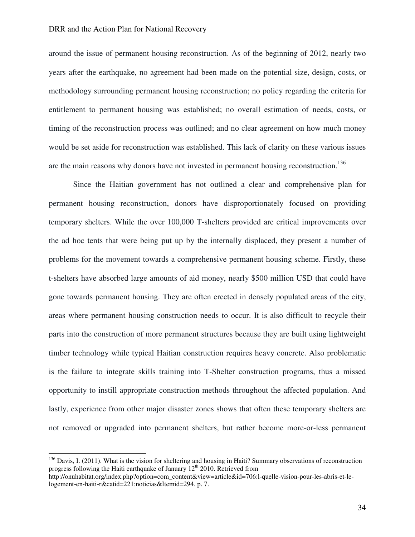around the issue of permanent housing reconstruction. As of the beginning of 2012, nearly two years after the earthquake, no agreement had been made on the potential size, design, costs, or methodology surrounding permanent housing reconstruction; no policy regarding the criteria for entitlement to permanent housing was established; no overall estimation of needs, costs, or timing of the reconstruction process was outlined; and no clear agreement on how much money would be set aside for reconstruction was established. This lack of clarity on these various issues are the main reasons why donors have not invested in permanent housing reconstruction.<sup>136</sup>

Since the Haitian government has not outlined a clear and comprehensive plan for permanent housing reconstruction, donors have disproportionately focused on providing temporary shelters. While the over 100,000 T-shelters provided are critical improvements over the ad hoc tents that were being put up by the internally displaced, they present a number of problems for the movement towards a comprehensive permanent housing scheme. Firstly, these t-shelters have absorbed large amounts of aid money, nearly \$500 million USD that could have gone towards permanent housing. They are often erected in densely populated areas of the city, areas where permanent housing construction needs to occur. It is also difficult to recycle their parts into the construction of more permanent structures because they are built using lightweight timber technology while typical Haitian construction requires heavy concrete. Also problematic is the failure to integrate skills training into T-Shelter construction programs, thus a missed opportunity to instill appropriate construction methods throughout the affected population. And lastly, experience from other major disaster zones shows that often these temporary shelters are not removed or upgraded into permanent shelters, but rather become more-or-less permanent

 $136$  Davis, I. (2011). What is the vision for sheltering and housing in Haiti? Summary observations of reconstruction progress following the Haiti earthquake of January 12<sup>th</sup> 2010. Retrieved from

http://onuhabitat.org/index.php?option=com\_content&view=article&id=706:l-quelle-vision-pour-les-abris-et-lelogement-en-haiti-r&catid=221:noticias&Itemid=294. p. 7.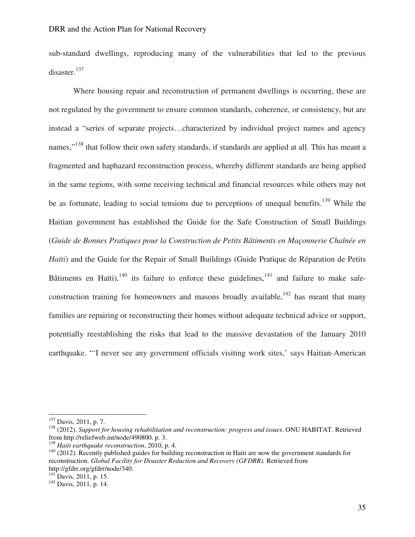sub-standard dwellings, reproducing many of the vulnerabilities that led to the previous disaster.<sup>137</sup>

Where housing repair and reconstruction of permanent dwellings is occurring, these are not regulated by the government to ensure common standards, coherence, or consistency, but are instead a "series of separate projects…characterized by individual project names and agency names,"<sup>138</sup> that follow their own safety standards, if standards are applied at all. This has meant a fragmented and haphazard reconstruction process, whereby different standards are being applied in the same regions, with some receiving technical and financial resources while others may not be as fortunate, leading to social tensions due to perceptions of unequal benefits.<sup>139</sup> While the Haitian government has established the Guide for the Safe Construction of Small Buildings (*Guide de Bonnes Pratiques pour la Construction de Petits Bâtiments en Maçonnerie Chaînée en Haïti*) and the Guide for the Repair of Small Buildings (Guide Pratique de Réparation de Petits Bâtiments en Haïti), $140$  its failure to enforce these guidelines, $141$  and failure to make safeconstruction training for homeowners and masons broadly available,  $142$  has meant that many families are repairing or reconstructing their homes without adequate technical advice or support, potentially reestablishing the risks that lead to the massive devastation of the January 2010 earthquake. "'I never see any government officials visiting work sites,' says Haitian-American

l

<sup>137</sup> Davis, 2011, p. 7.

<sup>138</sup> (2012). *Support for housing rehabilitation and reconstruction: progress and issues*. ONU HABITAT. Retrieved from http://reliefweb.int/node/490800. p. 3.

<sup>139</sup> *Haiti earthquake reconstruction*, 2010, p. 4.

<sup>&</sup>lt;sup>140</sup> (2012). Recently published guides for building reconstruction in Haiti are now the government standards for reconstruction. *Global Facility for Disaster Reduction and Recovery (GFDRR).* Retrieved from http://gfdrr.org/gfdrr/node/340.

 $141$  Davis, 2011, p. 15.

<sup>142</sup> Davis, 2011, p. 14.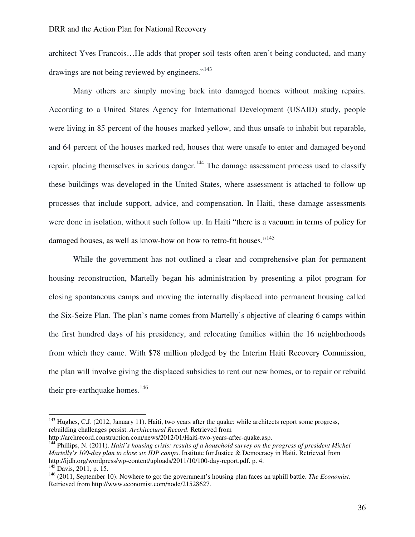architect Yves Francois…He adds that proper soil tests often aren't being conducted, and many drawings are not being reviewed by engineers."<sup>143</sup>

Many others are simply moving back into damaged homes without making repairs. According to a United States Agency for International Development (USAID) study, people were living in 85 percent of the houses marked yellow, and thus unsafe to inhabit but reparable, and 64 percent of the houses marked red, houses that were unsafe to enter and damaged beyond repair, placing themselves in serious danger.<sup>144</sup> The damage assessment process used to classify these buildings was developed in the United States, where assessment is attached to follow up processes that include support, advice, and compensation. In Haiti, these damage assessments were done in isolation, without such follow up. In Haiti "there is a vacuum in terms of policy for damaged houses, as well as know-how on how to retro-fit houses."<sup>145</sup>

While the government has not outlined a clear and comprehensive plan for permanent housing reconstruction, Martelly began his administration by presenting a pilot program for closing spontaneous camps and moving the internally displaced into permanent housing called the Six-Seize Plan. The plan's name comes from Martelly's objective of clearing 6 camps within the first hundred days of his presidency, and relocating families within the 16 neighborhoods from which they came. With \$78 million pledged by the Interim Haiti Recovery Commission, the plan will involve giving the displaced subsidies to rent out new homes, or to repair or rebuild their pre-earthquake homes. $146$ 

l

<sup>&</sup>lt;sup>143</sup> Hughes, C.J. (2012, January 11). Haiti, two years after the quake: while architects report some progress, rebuilding challenges persist. *Architectural Record*. Retrieved from

http://archrecord.construction.com/news/2012/01/Haiti-two-years-after-quake.asp. <sup>144</sup> Phillips, N. (2011). *Haiti's housing crisis: results of a household survey on the progress of president Michel Martelly's 100-day plan to close six IDP camps*. Institute for Justice & Democracy in Haiti. Retrieved from http://ijdh.org/wordpress/wp-content/uploads/2011/10/100-day-report.pdf. p. 4.  $145$  Davis, 2011, p. 15.

<sup>146</sup> (2011, September 10). Nowhere to go: the government's housing plan faces an uphill battle. *The Economist*. Retrieved from http://www.economist.com/node/21528627.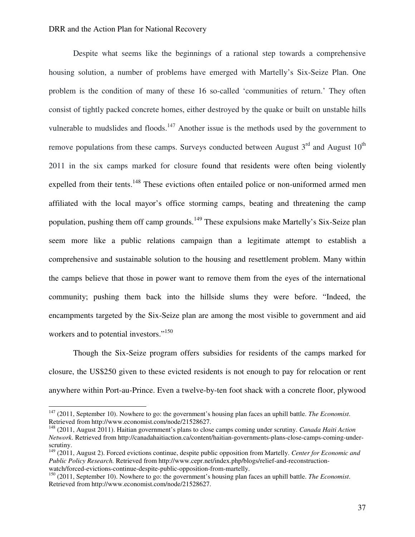Despite what seems like the beginnings of a rational step towards a comprehensive housing solution, a number of problems have emerged with Martelly's Six-Seize Plan. One problem is the condition of many of these 16 so-called 'communities of return.' They often consist of tightly packed concrete homes, either destroyed by the quake or built on unstable hills vulnerable to mudslides and floods.<sup>147</sup> Another issue is the methods used by the government to remove populations from these camps. Surveys conducted between August  $3<sup>rd</sup>$  and August  $10<sup>th</sup>$ 2011 in the six camps marked for closure found that residents were often being violently expelled from their tents.<sup>148</sup> These evictions often entailed police or non-uniformed armed men affiliated with the local mayor's office storming camps, beating and threatening the camp population, pushing them off camp grounds.<sup>149</sup> These expulsions make Martelly's Six-Seize plan seem more like a public relations campaign than a legitimate attempt to establish a comprehensive and sustainable solution to the housing and resettlement problem. Many within the camps believe that those in power want to remove them from the eyes of the international community; pushing them back into the hillside slums they were before. "Indeed, the encampments targeted by the Six-Seize plan are among the most visible to government and aid workers and to potential investors."<sup>150</sup>

Though the Six-Seize program offers subsidies for residents of the camps marked for closure, the US\$250 given to these evicted residents is not enough to pay for relocation or rent anywhere within Port-au-Prince. Even a twelve-by-ten foot shack with a concrete floor, plywood

<sup>147</sup> (2011, September 10). Nowhere to go: the government's housing plan faces an uphill battle. *The Economist*. Retrieved from http://www.economist.com/node/21528627.

<sup>148</sup> (2011, August 2011). Haitian government's plans to close camps coming under scrutiny. *Canada Haiti Action Network*. Retrieved from http://canadahaitiaction.ca/content/haitian-governments-plans-close-camps-coming-underscrutiny.

<sup>149</sup> (2011, August 2). Forced evictions continue, despite public opposition from Martelly. *Center for Economic and Public Policy Research.* Retrieved from http://www.cepr.net/index.php/blogs/relief-and-reconstructionwatch/forced-evictions-continue-despite-public-opposition-from-martelly.

<sup>150</sup> (2011, September 10). Nowhere to go: the government's housing plan faces an uphill battle. *The Economist*. Retrieved from http://www.economist.com/node/21528627.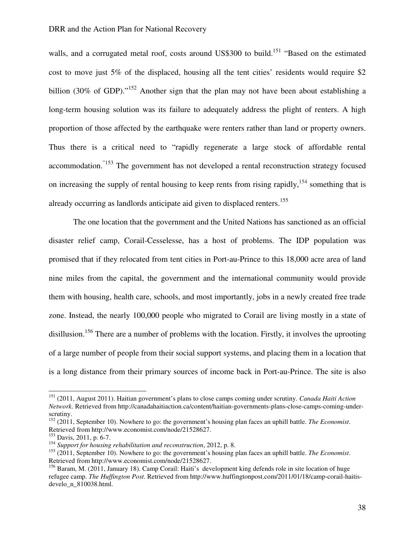walls, and a corrugated metal roof, costs around US\$300 to build.<sup>151</sup> "Based on the estimated cost to move just 5% of the displaced, housing all the tent cities' residents would require \$2 billion (30% of GDP)."<sup>152</sup> Another sign that the plan may not have been about establishing a long-term housing solution was its failure to adequately address the plight of renters. A high proportion of those affected by the earthquake were renters rather than land or property owners. Thus there is a critical need to "rapidly regenerate a large stock of affordable rental accommodation."153 The government has not developed a rental reconstruction strategy focused on increasing the supply of rental housing to keep rents from rising rapidly,<sup>154</sup> something that is already occurring as landlords anticipate aid given to displaced renters. 155

The one location that the government and the United Nations has sanctioned as an official disaster relief camp, Corail-Cesselesse, has a host of problems. The IDP population was promised that if they relocated from tent cities in Port-au-Prince to this 18,000 acre area of land nine miles from the capital, the government and the international community would provide them with housing, health care, schools, and most importantly, jobs in a newly created free trade zone. Instead, the nearly 100,000 people who migrated to Corail are living mostly in a state of disillusion.<sup>156</sup> There are a number of problems with the location. Firstly, it involves the uprooting of a large number of people from their social support systems, and placing them in a location that is a long distance from their primary sources of income back in Port-au-Prince. The site is also

<sup>151</sup> (2011, August 2011). Haitian government's plans to close camps coming under scrutiny. *Canada Haiti Action Network*. Retrieved from http://canadahaitiaction.ca/content/haitian-governments-plans-close-camps-coming-underscrutiny.

<sup>152</sup> (2011, September 10). Nowhere to go: the government's housing plan faces an uphill battle. *The Economist*. Retrieved from http://www.economist.com/node/21528627.

 $153$  Davis, 2011, p. 6-7.

<sup>154</sup> *Support for housing rehabilitation and reconstruction*, 2012, p. 8.

<sup>155</sup> (2011, September 10). Nowhere to go: the government's housing plan faces an uphill battle. *The Economist*. Retrieved from http://www.economist.com/node/21528627.

<sup>&</sup>lt;sup>156</sup> Baram, M. (2011, January 18). Camp Corail: Haiti's development king defends role in site location of huge refugee camp. *The Huffington Post*. Retrieved from http://www.huffingtonpost.com/2011/01/18/camp-corail-haitisdevelo\_n\_810038.html.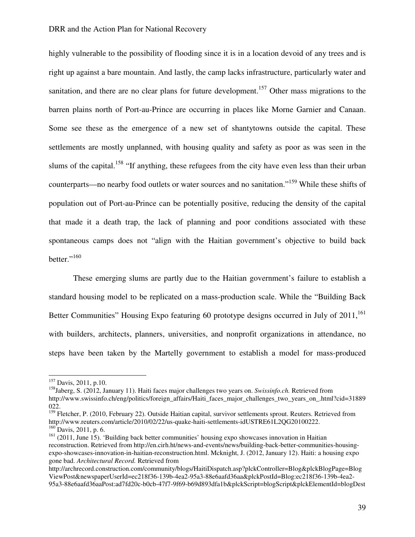highly vulnerable to the possibility of flooding since it is in a location devoid of any trees and is right up against a bare mountain. And lastly, the camp lacks infrastructure, particularly water and sanitation, and there are no clear plans for future development.<sup>157</sup> Other mass migrations to the barren plains north of Port-au-Prince are occurring in places like Morne Garnier and Canaan. Some see these as the emergence of a new set of shantytowns outside the capital. These settlements are mostly unplanned, with housing quality and safety as poor as was seen in the slums of the capital.<sup>158</sup> "If anything, these refugees from the city have even less than their urban counterparts—no nearby food outlets or water sources and no sanitation."<sup>159</sup> While these shifts of population out of Port-au-Prince can be potentially positive, reducing the density of the capital that made it a death trap, the lack of planning and poor conditions associated with these spontaneous camps does not "align with the Haitian government's objective to build back better." $160$ 

These emerging slums are partly due to the Haitian government's failure to establish a standard housing model to be replicated on a mass-production scale. While the "Building Back Better Communities" Housing Expo featuring 60 prototype designs occurred in July of 2011,<sup>161</sup> with builders, architects, planners, universities, and nonprofit organizations in attendance, no steps have been taken by the Martelly government to establish a model for mass-produced

<sup>&</sup>lt;sup>157</sup> Davis, 2011, p.10.

<sup>158</sup>Jaberg, S. (2012, January 11). Haiti faces major challenges two years on. *Swissinfo.ch.* Retrieved from http://www.swissinfo.ch/eng/politics/foreign\_affairs/Haiti\_faces\_major\_challenges\_two\_years\_on\_.html?cid=31889 022.

<sup>&</sup>lt;sup>159</sup> Fletcher, P. (2010, February 22). Outside Haitian capital, survivor settlements sprout. Reuters. Retrieved from http://www.reuters.com/article/2010/02/22/us-quake-haiti-settlements-idUSTRE61L2QG20100222.  $160$  Davis, 2011, p. 6.

<sup>&</sup>lt;sup>161</sup> (2011, June 15). 'Building back better communities' housing expo showcases innovation in Haitian reconstruction. Retrieved from http://en.cirh.ht/news-and-events/news/building-back-better-communities-housingexpo-showcases-innovation-in-haitian-reconstruction.html. Mcknight, J. (2012, January 12). Haiti: a housing expo gone bad. *Architectural Record.* Retrieved from

http://archrecord.construction.com/community/blogs/HaitiDispatch.asp?plckController=Blog&plckBlogPage=Blog ViewPost&newspaperUserId=ec218f36-139b-4ea2-95a3-88e6aafd36aa&plckPostId=Blog:ec218f36-139b-4ea2- 95a3-88e6aafd36aaPost:ad7fd20c-b0cb-47f7-9f69-b69d893dfa1b&plckScript=blogScript&plckElementId=blogDest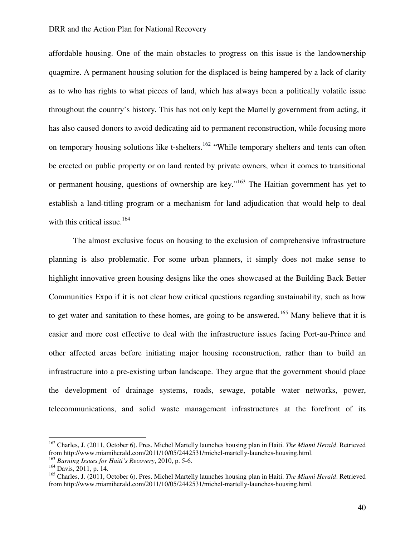affordable housing. One of the main obstacles to progress on this issue is the landownership quagmire. A permanent housing solution for the displaced is being hampered by a lack of clarity as to who has rights to what pieces of land, which has always been a politically volatile issue throughout the country's history. This has not only kept the Martelly government from acting, it has also caused donors to avoid dedicating aid to permanent reconstruction, while focusing more on temporary housing solutions like t-shelters.<sup>162</sup> "While temporary shelters and tents can often be erected on public property or on land rented by private owners, when it comes to transitional or permanent housing, questions of ownership are key."<sup>163</sup> The Haitian government has yet to establish a land-titling program or a mechanism for land adjudication that would help to deal with this critical issue.<sup>164</sup>

The almost exclusive focus on housing to the exclusion of comprehensive infrastructure planning is also problematic. For some urban planners, it simply does not make sense to highlight innovative green housing designs like the ones showcased at the Building Back Better Communities Expo if it is not clear how critical questions regarding sustainability, such as how to get water and sanitation to these homes, are going to be answered.<sup>165</sup> Many believe that it is easier and more cost effective to deal with the infrastructure issues facing Port-au-Prince and other affected areas before initiating major housing reconstruction, rather than to build an infrastructure into a pre-existing urban landscape. They argue that the government should place the development of drainage systems, roads, sewage, potable water networks, power, telecommunications, and solid waste management infrastructures at the forefront of its

<sup>162</sup> Charles, J. (2011, October 6). Pres. Michel Martelly launches housing plan in Haiti. *The Miami Herald*. Retrieved from http://www.miamiherald.com/2011/10/05/2442531/michel-martelly-launches-housing.html.

<sup>163</sup> *Burning Issues for Haiti's Recovery*, 2010, p. 5-6.

 $164$  Davis, 2011, p. 14.

<sup>165</sup> Charles, J. (2011, October 6). Pres. Michel Martelly launches housing plan in Haiti. *The Miami Herald*. Retrieved from http://www.miamiherald.com/2011/10/05/2442531/michel-martelly-launches-housing.html.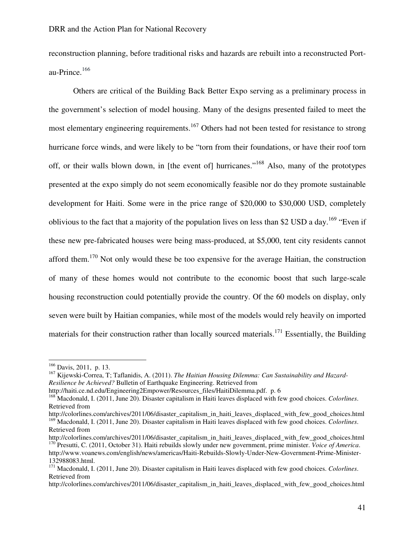reconstruction planning, before traditional risks and hazards are rebuilt into a reconstructed Portau-Prince. $166$ 

Others are critical of the Building Back Better Expo serving as a preliminary process in the government's selection of model housing. Many of the designs presented failed to meet the most elementary engineering requirements.<sup>167</sup> Others had not been tested for resistance to strong hurricane force winds, and were likely to be "torn from their foundations, or have their roof torn off, or their walls blown down, in [the event of] hurricanes."<sup>168</sup> Also, many of the prototypes presented at the expo simply do not seem economically feasible nor do they promote sustainable development for Haiti. Some were in the price range of \$20,000 to \$30,000 USD, completely oblivious to the fact that a majority of the population lives on less than \$2 USD a day.<sup>169</sup> "Even if these new pre-fabricated houses were being mass-produced, at \$5,000, tent city residents cannot afford them.<sup>170</sup> Not only would these be too expensive for the average Haitian, the construction of many of these homes would not contribute to the economic boost that such large-scale housing reconstruction could potentially provide the country. Of the 60 models on display, only seven were built by Haitian companies, while most of the models would rely heavily on imported materials for their construction rather than locally sourced materials.<sup>171</sup> Essentially, the Building

<sup>166</sup> Davis, 2011, p. 13.

<sup>167</sup> Kijewski-Correa, T; Taflanidis, A. (2011). *The Haitian Housing Dilemma: Can Sustainability and Hazard-Resilience be Achieved?* Bulletin of Earthquake Engineering. Retrieved from

http://haiti.ce.nd.edu/Engineering2Empower/Resources\_files/HaitiDilemma.pdf. p. 6

<sup>168</sup> Macdonald, I. (2011, June 20). Disaster capitalism in Haiti leaves displaced with few good choices. *Colorlines*. Retrieved from

http://colorlines.com/archives/2011/06/disaster\_capitalism\_in\_haiti\_leaves\_displaced\_with\_few\_good\_choices.html <sup>169</sup> Macdonald, I. (2011, June 20). Disaster capitalism in Haiti leaves displaced with few good choices. *Colorlines*. Retrieved from

http://colorlines.com/archives/2011/06/disaster\_capitalism\_in\_haiti\_leaves\_displaced\_with\_few\_good\_choices.html <sup>170</sup> Presutti, C. (2011, October 31). Haiti rebuilds slowly under new government, prime minister. *Voice of America*. http://www.voanews.com/english/news/americas/Haiti-Rebuilds-Slowly-Under-New-Government-Prime-Minister-132988083.html.

<sup>171</sup> Macdonald, I. (2011, June 20). Disaster capitalism in Haiti leaves displaced with few good choices. *Colorlines*. Retrieved from

http://colorlines.com/archives/2011/06/disaster\_capitalism\_in\_haiti\_leaves\_displaced\_with\_few\_good\_choices.html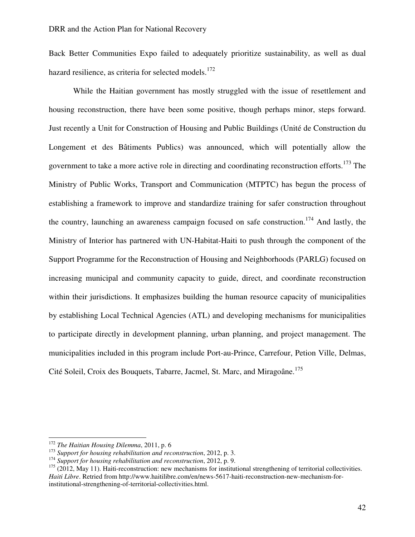Back Better Communities Expo failed to adequately prioritize sustainability, as well as dual hazard resilience, as criteria for selected models.<sup>172</sup>

While the Haitian government has mostly struggled with the issue of resettlement and housing reconstruction, there have been some positive, though perhaps minor, steps forward. Just recently a Unit for Construction of Housing and Public Buildings (Unité de Construction du Longement et des Bâtiments Publics) was announced, which will potentially allow the government to take a more active role in directing and coordinating reconstruction efforts.<sup>173</sup> The Ministry of Public Works, Transport and Communication (MTPTC) has begun the process of establishing a framework to improve and standardize training for safer construction throughout the country, launching an awareness campaign focused on safe construction.<sup>174</sup> And lastly, the Ministry of Interior has partnered with UN-Habitat-Haiti to push through the component of the Support Programme for the Reconstruction of Housing and Neighborhoods (PARLG) focused on increasing municipal and community capacity to guide, direct, and coordinate reconstruction within their jurisdictions. It emphasizes building the human resource capacity of municipalities by establishing Local Technical Agencies (ATL) and developing mechanisms for municipalities to participate directly in development planning, urban planning, and project management. The municipalities included in this program include Port-au-Prince, Carrefour, Petion Ville, Delmas, Cité Soleil, Croix des Bouquets, Tabarre, Jacmel, St. Marc, and Miragoâne.<sup>175</sup>

<sup>172</sup> *The Haitian Housing Dilemma*, 2011, p. 6

<sup>173</sup> *Support for housing rehabilitation and reconstruction*, 2012, p. 3.

<sup>174</sup> *Support for housing rehabilitation and reconstruction*, 2012, p. 9.

 $175$  (2012, May 11). Haiti-reconstruction: new mechanisms for institutional strengthening of territorial collectivities. *Haiti Libre*. Retried from http://www.haitilibre.com/en/news-5617-haiti-reconstruction-new-mechanism-forinstitutional-strengthening-of-territorial-collectivities.html.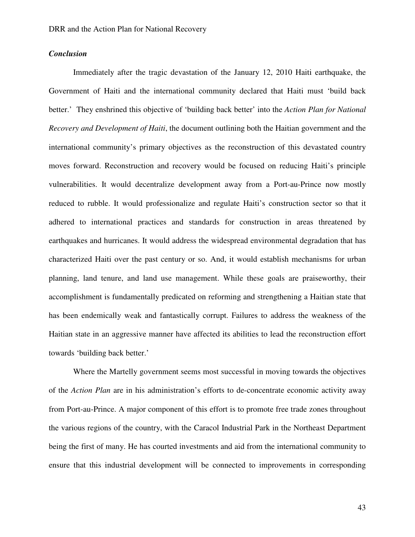# *Conclusion*

Immediately after the tragic devastation of the January 12, 2010 Haiti earthquake, the Government of Haiti and the international community declared that Haiti must 'build back better.' They enshrined this objective of 'building back better' into the *Action Plan for National Recovery and Development of Haiti*, the document outlining both the Haitian government and the international community's primary objectives as the reconstruction of this devastated country moves forward. Reconstruction and recovery would be focused on reducing Haiti's principle vulnerabilities. It would decentralize development away from a Port-au-Prince now mostly reduced to rubble. It would professionalize and regulate Haiti's construction sector so that it adhered to international practices and standards for construction in areas threatened by earthquakes and hurricanes. It would address the widespread environmental degradation that has characterized Haiti over the past century or so. And, it would establish mechanisms for urban planning, land tenure, and land use management. While these goals are praiseworthy, their accomplishment is fundamentally predicated on reforming and strengthening a Haitian state that has been endemically weak and fantastically corrupt. Failures to address the weakness of the Haitian state in an aggressive manner have affected its abilities to lead the reconstruction effort towards 'building back better.'

Where the Martelly government seems most successful in moving towards the objectives of the *Action Plan* are in his administration's efforts to de-concentrate economic activity away from Port-au-Prince. A major component of this effort is to promote free trade zones throughout the various regions of the country, with the Caracol Industrial Park in the Northeast Department being the first of many. He has courted investments and aid from the international community to ensure that this industrial development will be connected to improvements in corresponding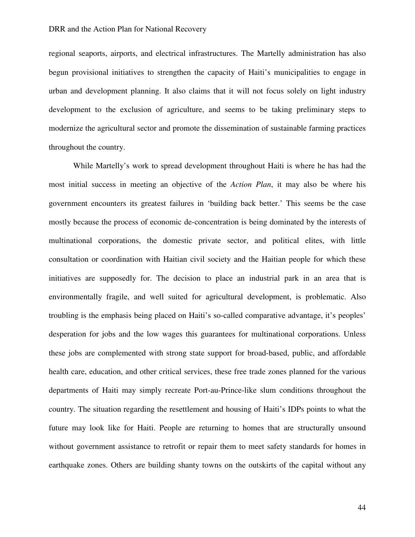regional seaports, airports, and electrical infrastructures. The Martelly administration has also begun provisional initiatives to strengthen the capacity of Haiti's municipalities to engage in urban and development planning. It also claims that it will not focus solely on light industry development to the exclusion of agriculture, and seems to be taking preliminary steps to modernize the agricultural sector and promote the dissemination of sustainable farming practices throughout the country.

While Martelly's work to spread development throughout Haiti is where he has had the most initial success in meeting an objective of the *Action Plan*, it may also be where his government encounters its greatest failures in 'building back better.' This seems be the case mostly because the process of economic de-concentration is being dominated by the interests of multinational corporations, the domestic private sector, and political elites, with little consultation or coordination with Haitian civil society and the Haitian people for which these initiatives are supposedly for. The decision to place an industrial park in an area that is environmentally fragile, and well suited for agricultural development, is problematic. Also troubling is the emphasis being placed on Haiti's so-called comparative advantage, it's peoples' desperation for jobs and the low wages this guarantees for multinational corporations. Unless these jobs are complemented with strong state support for broad-based, public, and affordable health care, education, and other critical services, these free trade zones planned for the various departments of Haiti may simply recreate Port-au-Prince-like slum conditions throughout the country. The situation regarding the resettlement and housing of Haiti's IDPs points to what the future may look like for Haiti. People are returning to homes that are structurally unsound without government assistance to retrofit or repair them to meet safety standards for homes in earthquake zones. Others are building shanty towns on the outskirts of the capital without any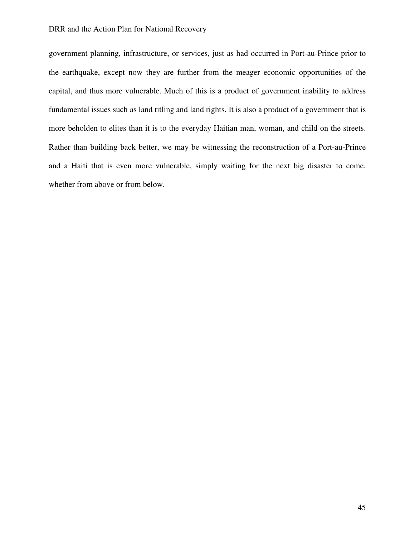government planning, infrastructure, or services, just as had occurred in Port-au-Prince prior to the earthquake, except now they are further from the meager economic opportunities of the capital, and thus more vulnerable. Much of this is a product of government inability to address fundamental issues such as land titling and land rights. It is also a product of a government that is more beholden to elites than it is to the everyday Haitian man, woman, and child on the streets. Rather than building back better, we may be witnessing the reconstruction of a Port-au-Prince and a Haiti that is even more vulnerable, simply waiting for the next big disaster to come, whether from above or from below.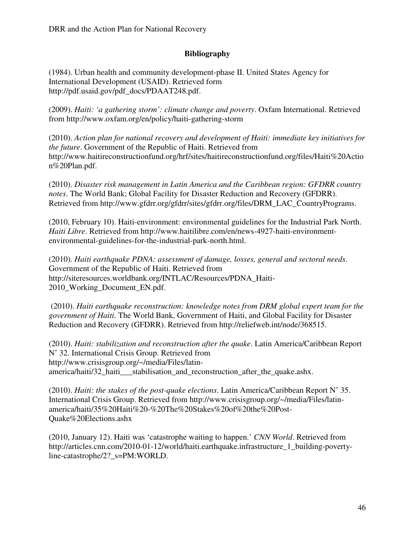# **Bibliography**

(1984). Urban health and community development-phase II. United States Agency for International Development (USAID). Retrieved form http://pdf.usaid.gov/pdf\_docs/PDAAT248.pdf.

(2009). *Haiti: 'a gathering storm': climate change and poverty*. Oxfam International. Retrieved from http://www.oxfam.org/en/policy/haiti-gathering-storm

(2010). *Action plan for national recovery and development of Haiti: immediate key initiatives for the future*. Government of the Republic of Haiti. Retrieved from http://www.haitireconstructionfund.org/hrf/sites/haitireconstructionfund.org/files/Haiti%20Actio n%20Plan.pdf.

(2010). *Disaster risk management in Latin America and the Caribbean region: GFDRR country notes*. The World Bank; Global Facility for Disaster Reduction and Recovery (GFDRR). Retrieved from http://www.gfdrr.org/gfdrr/sites/gfdrr.org/files/DRM\_LAC\_CountryPrograms.

(2010, February 10). Haiti-environment: environmental guidelines for the Industrial Park North. *Haiti Libre*. Retrieved from http://www.haitilibre.com/en/news-4927-haiti-environmentenvironmental-guidelines-for-the-industrial-park-north.html.

(2010). *Haiti earthquake PDNA: assessment of damage, losses, general and sectoral needs*. Government of the Republic of Haiti. Retrieved from http://siteresources.worldbank.org/INTLAC/Resources/PDNA\_Haiti-2010 Working Document EN.pdf.

 (2010). *Haiti earthquake reconstruction: knowledge notes from DRM global expert team for the government of Haiti.* The World Bank, Government of Haiti, and Global Facility for Disaster Reduction and Recovery (GFDRR). Retrieved from http://reliefweb.int/node/368515.

(2010). *Haiti: stabilization and reconstruction after the quake*. Latin America/Caribbean Report N˚ 32. International Crisis Group. Retrieved from http://www.crisisgroup.org/~/media/Files/latinamerica/haiti/32 haiti stabilisation and reconstruction after the quake.ashx.

(2010). *Haiti: the stakes of the post-quake elections*. Latin America/Caribbean Report N˚ 35. International Crisis Group. Retrieved from http://www.crisisgroup.org/~/media/Files/latinamerica/haiti/35%20Haiti%20-%20The%20Stakes%20of%20the%20Post-Quake%20Elections.ashx

(2010, January 12). Haiti was 'catastrophe waiting to happen.' *CNN World*. Retrieved from http://articles.cnn.com/2010-01-12/world/haiti.earthquake.infrastructure\_1\_building-povertyline-catastrophe/2?\_s=PM:WORLD.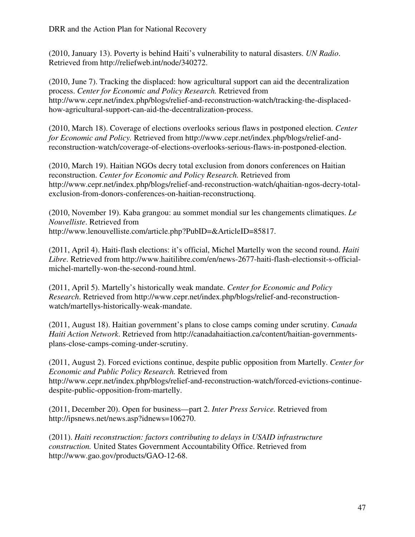(2010, January 13). Poverty is behind Haiti's vulnerability to natural disasters. *UN Radio*. Retrieved from http://reliefweb.int/node/340272.

(2010, June 7). Tracking the displaced: how agricultural support can aid the decentralization process. *Center for Economic and Policy Research.* Retrieved from http://www.cepr.net/index.php/blogs/relief-and-reconstruction-watch/tracking-the-displacedhow-agricultural-support-can-aid-the-decentralization-process.

(2010, March 18). Coverage of elections overlooks serious flaws in postponed election. *Center for Economic and Policy.* Retrieved from http://www.cepr.net/index.php/blogs/relief-andreconstruction-watch/coverage-of-elections-overlooks-serious-flaws-in-postponed-election.

(2010, March 19). Haitian NGOs decry total exclusion from donors conferences on Haitian reconstruction. *Center for Economic and Policy Research.* Retrieved from http://www.cepr.net/index.php/blogs/relief-and-reconstruction-watch/qhaitian-ngos-decry-totalexclusion-from-donors-conferences-on-haitian-reconstructionq.

(2010, November 19). Kaba grangou: au sommet mondial sur les changements climatiques. *Le Nouvelliste*. Retrieved from http://www.lenouvelliste.com/article.php?PubID=&ArticleID=85817.

(2011, April 4). Haiti-flash elections: it's official, Michel Martelly won the second round. *Haiti Libre*. Retrieved from http://www.haitilibre.com/en/news-2677-haiti-flash-electionsit-s-officialmichel-martelly-won-the-second-round.html.

(2011, April 5). Martelly's historically weak mandate. *Center for Economic and Policy Research*. Retrieved from http://www.cepr.net/index.php/blogs/relief-and-reconstructionwatch/martellys-historically-weak-mandate.

(2011, August 18). Haitian government's plans to close camps coming under scrutiny. *Canada Haiti Action Network*. Retrieved from http://canadahaitiaction.ca/content/haitian-governmentsplans-close-camps-coming-under-scrutiny.

(2011, August 2). Forced evictions continue, despite public opposition from Martelly. *Center for Economic and Public Policy Research.* Retrieved from http://www.cepr.net/index.php/blogs/relief-and-reconstruction-watch/forced-evictions-continuedespite-public-opposition-from-martelly.

(2011, December 20). Open for business—part 2. *Inter Press Service.* Retrieved from http://ipsnews.net/news.asp?idnews=106270.

(2011). *Haiti reconstruction: factors contributing to delays in USAID infrastructure construction.* United States Government Accountability Office. Retrieved from http://www.gao.gov/products/GAO-12-68.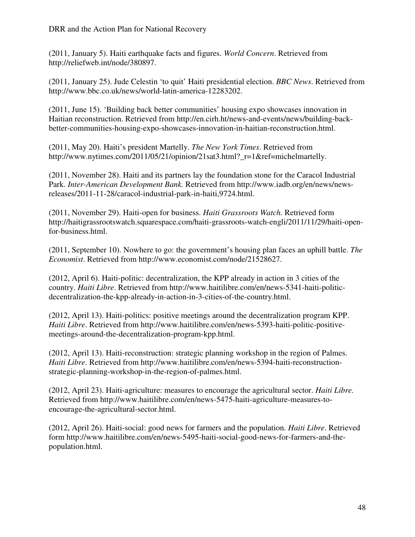(2011, January 5). Haiti earthquake facts and figures. *World Concern*. Retrieved from http://reliefweb.int/node/380897.

(2011, January 25). Jude Celestin 'to quit' Haiti presidential election. *BBC News*. Retrieved from http://www.bbc.co.uk/news/world-latin-america-12283202.

(2011, June 15). 'Building back better communities' housing expo showcases innovation in Haitian reconstruction. Retrieved from http://en.cirh.ht/news-and-events/news/building-backbetter-communities-housing-expo-showcases-innovation-in-haitian-reconstruction.html.

(2011, May 20). Haiti's president Martelly. *The New York Times*. Retrieved from http://www.nytimes.com/2011/05/21/opinion/21sat3.html? r=1&ref=michelmartelly.

(2011, November 28). Haiti and its partners lay the foundation stone for the Caracol Industrial Park. *Inter-American Development Bank.* Retrieved from http://www.iadb.org/en/news/newsreleases/2011-11-28/caracol-industrial-park-in-haiti,9724.html.

(2011, November 29). Haiti-open for business. *Haiti Grassroots Watch.* Retrieved form http://haitigrassrootswatch.squarespace.com/haiti-grassroots-watch-engli/2011/11/29/haiti-openfor-business.html.

(2011, September 10). Nowhere to go: the government's housing plan faces an uphill battle. *The Economist*. Retrieved from http://www.economist.com/node/21528627.

(2012, April 6). Haiti-politic: decentralization, the KPP already in action in 3 cities of the country. *Haiti Libre*. Retrieved from http://www.haitilibre.com/en/news-5341-haiti-politicdecentralization-the-kpp-already-in-action-in-3-cities-of-the-country.html.

(2012, April 13). Haiti-politics: positive meetings around the decentralization program KPP. *Haiti Libre*. Retrieved from http://www.haitilibre.com/en/news-5393-haiti-politic-positivemeetings-around-the-decentralization-program-kpp.html.

(2012, April 13). Haiti-reconstruction: strategic planning workshop in the region of Palmes. *Haiti Libre*. Retrieved from http://www.haitilibre.com/en/news-5394-haiti-reconstructionstrategic-planning-workshop-in-the-region-of-palmes.html.

(2012, April 23). Haiti-agriculture: measures to encourage the agricultural sector. *Haiti Libre.* Retrieved from http://www.haitilibre.com/en/news-5475-haiti-agriculture-measures-toencourage-the-agricultural-sector.html.

(2012, April 26). Haiti-social: good news for farmers and the population. *Haiti Libre*. Retrieved form http://www.haitilibre.com/en/news-5495-haiti-social-good-news-for-farmers-and-thepopulation.html.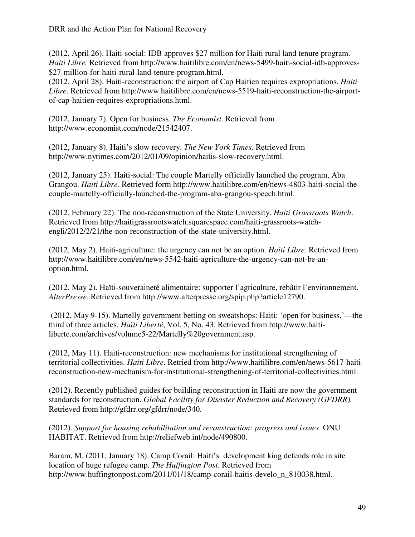(2012, April 26). Haiti-social: IDB approves \$27 million for Haiti rural land tenure program. *Haiti Libre.* Retrieved from http://www.haitilibre.com/en/news-5499-haiti-social-idb-approves- \$27-million-for-haiti-rural-land-tenure-program.html.

(2012, April 28). Haiti-reconstruction: the airport of Cap Haitien requires expropriations. *Haiti Libre*. Retrieved from http://www.haitilibre.com/en/news-5519-haiti-reconstruction-the-airportof-cap-haitien-requires-expropriations.html.

(2012, January 7). Open for business. *The Economist*. Retrieved from http://www.economist.com/node/21542407.

(2012, January 8). Haiti's slow recovery. *The New York Times*. Retrieved from http://www.nytimes.com/2012/01/09/opinion/haitis-slow-recovery.html.

(2012, January 25). Haiti-social: The couple Martelly officially launched the program, Aba Grangou. *Haiti Libre*. Retrieved form http://www.haitilibre.com/en/news-4803-haiti-social-thecouple-martelly-officially-launched-the-program-aba-grangou-speech.html.

(2012, February 22). The non-reconstruction of the State University. *Haiti Grassroots Watch*. Retrieved from http://haitigrassrootswatch.squarespace.com/haiti-grassroots-watchengli/2012/2/21/the-non-reconstruction-of-the-state-university.html.

(2012, May 2). Haiti-agriculture: the urgency can not be an option. *Haiti Libre*. Retrieved from http://www.haitilibre.com/en/news-5542-haiti-agriculture-the-urgency-can-not-be-anoption.html.

(2012, May 2). Haïti-souveraineté alimentaire: supporter l'agriculture, rebâtir l'environnement. *AlterPresse*. Retrieved from http://www.alterpresse.org/spip.php?article12790.

 (2012, May 9-15). Martelly government betting on sweatshops: Haiti: 'open for business,'—the third of three articles. *Haïti Liberté*, Vol. 5, No. 43. Retrieved from http://www.haitiliberte.com/archives/volume5-22/Martelly%20government.asp.

(2012, May 11). Haiti-reconstruction: new mechanisms for institutional strengthening of territorial collectivities. *Haiti Libre*. Retried from http://www.haitilibre.com/en/news-5617-haitireconstruction-new-mechanism-for-institutional-strengthening-of-territorial-collectivities.html.

(2012). Recently published guides for building reconstruction in Haiti are now the government standards for reconstruction. *Global Facility for Disaster Reduction and Recovery (GFDRR).* Retrieved from http://gfdrr.org/gfdrr/node/340.

(2012). *Support for housing rehabilitation and reconstruction: progress and issues*. ONU HABITAT. Retrieved from http://reliefweb.int/node/490800.

Baram, M. (2011, January 18). Camp Corail: Haiti's development king defends role in site location of huge refugee camp. *The Huffington Post*. Retrieved from http://www.huffingtonpost.com/2011/01/18/camp-corail-haitis-develo\_n\_810038.html.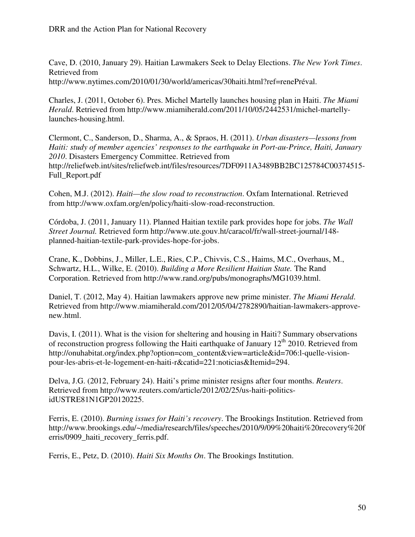Cave, D. (2010, January 29). Haitian Lawmakers Seek to Delay Elections. *The New York Times*. Retrieved from http://www.nytimes.com/2010/01/30/world/americas/30haiti.html?ref=renePréval.

Charles, J. (2011, October 6). Pres. Michel Martelly launches housing plan in Haiti. *The Miami Herald*. Retrieved from http://www.miamiherald.com/2011/10/05/2442531/michel-martellylaunches-housing.html.

Clermont, C., Sanderson, D., Sharma, A., & Spraos, H. (2011). *Urban disasters—lessons from Haiti: study of member agencies' responses to the earthquake in Port-au-Prince, Haiti, January 2010*. Disasters Emergency Committee. Retrieved from http://reliefweb.int/sites/reliefweb.int/files/resources/7DF0911A3489BB2BC125784C00374515- Full\_Report.pdf

Cohen, M.J. (2012). *Haiti—the slow road to reconstruction*. Oxfam International. Retrieved from http://www.oxfam.org/en/policy/haiti-slow-road-reconstruction.

Córdoba, J. (2011, January 11). Planned Haitian textile park provides hope for jobs. *The Wall Street Journal.* Retrieved form http://www.ute.gouv.ht/caracol/fr/wall-street-journal/148 planned-haitian-textile-park-provides-hope-for-jobs.

Crane, K., Dobbins, J., Miller, L.E., Ries, C.P., Chivvis, C.S., Haims, M.C., Overhaus, M., Schwartz, H.L., Wilke, E. (2010). *Building a More Resilient Haitian State.* The Rand Corporation. Retrieved from http://www.rand.org/pubs/monographs/MG1039.html.

Daniel, T. (2012, May 4). Haitian lawmakers approve new prime minister. *The Miami Herald*. Retrieved from http://www.miamiherald.com/2012/05/04/2782890/haitian-lawmakers-approvenew.html.

Davis, I. (2011). What is the vision for sheltering and housing in Haiti? Summary observations of reconstruction progress following the Haiti earthquake of January  $12<sup>th</sup> 2010$ . Retrieved from http://onuhabitat.org/index.php?option=com\_content&view=article&id=706:l-quelle-visionpour-les-abris-et-le-logement-en-haiti-r&catid=221:noticias&Itemid=294.

Delva, J.G. (2012, February 24). Haiti's prime minister resigns after four months. *Reuters*. Retrieved from http://www.reuters.com/article/2012/02/25/us-haiti-politicsidUSTRE81N1GP20120225.

Ferris, E. (2010). *Burning issues for Haiti's recovery*. The Brookings Institution. Retrieved from http://www.brookings.edu/~/media/research/files/speeches/2010/9/09%20haiti%20recovery%20f erris/0909 haiti recovery ferris.pdf.

Ferris, E., Petz, D. (2010). *Haiti Six Months On*. The Brookings Institution.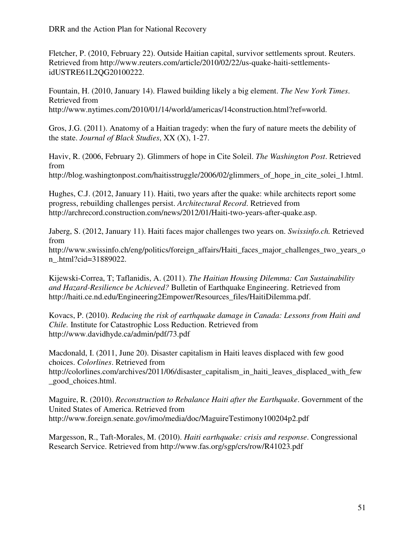Fletcher, P. (2010, February 22). Outside Haitian capital, survivor settlements sprout. Reuters. Retrieved from http://www.reuters.com/article/2010/02/22/us-quake-haiti-settlementsidUSTRE61L2QG20100222.

Fountain, H. (2010, January 14). Flawed building likely a big element. *The New York Times*. Retrieved from http://www.nytimes.com/2010/01/14/world/americas/14construction.html?ref=world.

Gros, J.G. (2011). Anatomy of a Haitian tragedy: when the fury of nature meets the debility of the state. *Journal of Black Studies*, XX (X), 1-27.

Haviv, R. (2006, February 2). Glimmers of hope in Cite Soleil. *The Washington Post*. Retrieved from

http://blog.washingtonpost.com/haitisstruggle/2006/02/glimmers\_of\_hope\_in\_cite\_solei\_1.html.

Hughes, C.J. (2012, January 11). Haiti, two years after the quake: while architects report some progress, rebuilding challenges persist. *Architectural Record*. Retrieved from http://archrecord.construction.com/news/2012/01/Haiti-two-years-after-quake.asp.

Jaberg, S. (2012, January 11). Haiti faces major challenges two years on. *Swissinfo.ch.* Retrieved from

http://www.swissinfo.ch/eng/politics/foreign\_affairs/Haiti\_faces\_major\_challenges\_two\_years\_o n\_.html?cid=31889022.

Kijewski-Correa, T; Taflanidis, A. (2011). *The Haitian Housing Dilemma: Can Sustainability and Hazard-Resilience be Achieved?* Bulletin of Earthquake Engineering. Retrieved from http://haiti.ce.nd.edu/Engineering2Empower/Resources\_files/HaitiDilemma.pdf.

Kovacs, P. (2010). *Reducing the risk of earthquake damage in Canada: Lessons from Haiti and Chile.* Institute for Catastrophic Loss Reduction. Retrieved from http://www.davidhyde.ca/admin/pdf/73.pdf

Macdonald, I. (2011, June 20). Disaster capitalism in Haiti leaves displaced with few good choices. *Colorlines*. Retrieved from http://colorlines.com/archives/2011/06/disaster\_capitalism\_in\_haiti\_leaves\_displaced\_with\_few \_good\_choices.html.

Maguire, R. (2010). *Reconstruction to Rebalance Haiti after the Earthquake*. Government of the United States of America. Retrieved from http://www.foreign.senate.gov/imo/media/doc/MaguireTestimony100204p2.pdf

Margesson, R., Taft-Morales, M. (2010). *Haiti earthquake: crisis and response*. Congressional Research Service. Retrieved from http://www.fas.org/sgp/crs/row/R41023.pdf